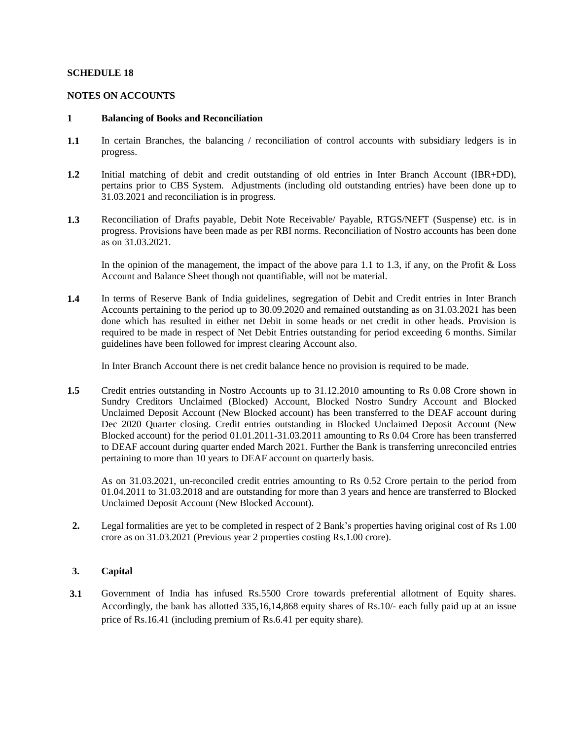### **SCHEDULE 18**

#### **NOTES ON ACCOUNTS**

#### **1 Balancing of Books and Reconciliation**

- **1.1** In certain Branches, the balancing / reconciliation of control accounts with subsidiary ledgers is in progress.
- **1.2** Initial matching of debit and credit outstanding of old entries in Inter Branch Account (IBR+DD), pertains prior to CBS System. Adjustments (including old outstanding entries) have been done up to 31.03.2021 and reconciliation is in progress.
- **1.3** Reconciliation of Drafts payable, Debit Note Receivable/ Payable, RTGS/NEFT (Suspense) etc. is in progress. Provisions have been made as per RBI norms. Reconciliation of Nostro accounts has been done as on 31.03.2021.

In the opinion of the management, the impact of the above para 1.1 to 1.3, if any, on the Profit & Loss Account and Balance Sheet though not quantifiable, will not be material.

**1.4** In terms of Reserve Bank of India guidelines, segregation of Debit and Credit entries in Inter Branch Accounts pertaining to the period up to 30.09.2020 and remained outstanding as on 31.03.2021 has been done which has resulted in either net Debit in some heads or net credit in other heads. Provision is required to be made in respect of Net Debit Entries outstanding for period exceeding 6 months. Similar guidelines have been followed for imprest clearing Account also.

In Inter Branch Account there is net credit balance hence no provision is required to be made.

**1.5** Credit entries outstanding in Nostro Accounts up to 31.12.2010 amounting to Rs 0.08 Crore shown in Sundry Creditors Unclaimed (Blocked) Account, Blocked Nostro Sundry Account and Blocked Unclaimed Deposit Account (New Blocked account) has been transferred to the DEAF account during Dec 2020 Quarter closing. Credit entries outstanding in Blocked Unclaimed Deposit Account (New Blocked account) for the period 01.01.2011-31.03.2011 amounting to Rs 0.04 Crore has been transferred to DEAF account during quarter ended March 2021. Further the Bank is transferring unreconciled entries pertaining to more than 10 years to DEAF account on quarterly basis.

As on 31.03.2021, un-reconciled credit entries amounting to Rs 0.52 Crore pertain to the period from 01.04.2011 to 31.03.2018 and are outstanding for more than 3 years and hence are transferred to Blocked Unclaimed Deposit Account (New Blocked Account).

**2.** Legal formalities are yet to be completed in respect of 2 Bank's properties having original cost of Rs 1.00 Rs……. crore as on 31.03.2021 (Previous year 2 properties costing Rs.1.00 crore). crore as on 31.03.2021 (Previous year 2 properties costing Rs.1.00 crore).

### **3. Capital**

**3.1** Government of India has infused Rs.5500 Crore towards preferential allotment of Equity shares. Accordingly, the bank has allotted 335,16,14,868 equity shares of Rs.10/- each fully paid up at an issue price of Rs.16.41 (including premium of Rs.6.41 per equity share).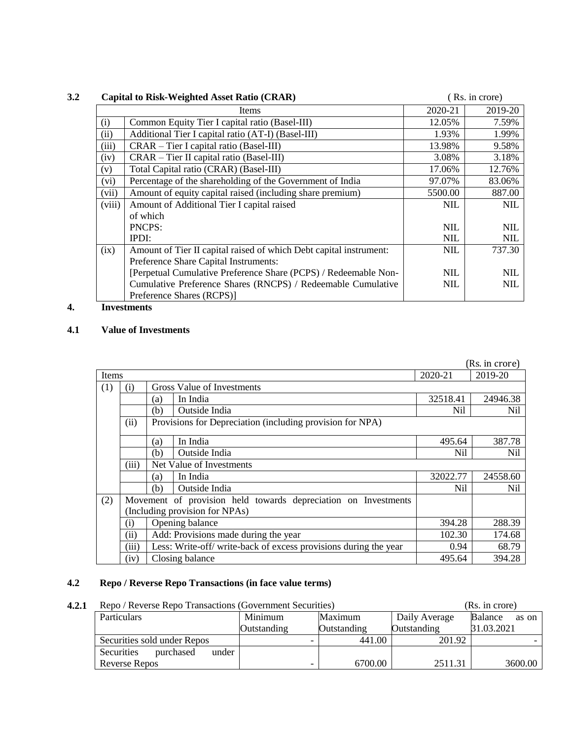|        | <b>Capital to Risk-Weighted Asset Ratio (CRAR)</b>                 |            | (Rs. in crore) |
|--------|--------------------------------------------------------------------|------------|----------------|
|        | Items                                                              | 2020-21    | 2019-20        |
| (i)    | Common Equity Tier I capital ratio (Basel-III)                     | 12.05%     | 7.59%          |
| (ii)   | Additional Tier I capital ratio (AT-I) (Basel-III)                 | 1.93%      | 1.99%          |
| (iii)  | CRAR – Tier I capital ratio (Basel-III)                            | 13.98%     | 9.58%          |
| (iv)   | CRAR – Tier II capital ratio (Basel-III)                           | 3.08%      | 3.18%          |
| (v)    | Total Capital ratio (CRAR) (Basel-III)                             | 17.06%     | 12.76%         |
| (vi)   | Percentage of the shareholding of the Government of India          | 97.07%     | 83.06%         |
| (vii)  | Amount of equity capital raised (including share premium)          | 5500.00    | 887.00         |
| (viii) | Amount of Additional Tier I capital raised                         | <b>NIL</b> | <b>NIL</b>     |
|        | of which                                                           |            |                |
|        | PNCPS:                                                             | <b>NIL</b> | <b>NIL</b>     |
|        | IPDI:                                                              | <b>NIL</b> | <b>NIL</b>     |
| (ix)   | Amount of Tier II capital raised of which Debt capital instrument: | NIL        | 737.30         |
|        | Preference Share Capital Instruments:                              |            |                |
|        | [Perpetual Cumulative Preference Share (PCPS) / Redeemable Non-    | NIL        | <b>NIL</b>     |
|        | Cumulative Preference Shares (RNCPS) / Redeemable Cumulative       | <b>NIL</b> | <b>NIL</b>     |
|        | Preference Shares (RCPS)]                                          |            |                |
|        |                                                                    |            |                |

#### **4. Investments**

#### **4.1 Value of Investments**

|       |       | (Rs. in crore) |                                                                  |          |          |
|-------|-------|----------------|------------------------------------------------------------------|----------|----------|
| Items |       |                | 2020-21                                                          | 2019-20  |          |
| (1)   | (i)   |                | Gross Value of Investments                                       |          |          |
|       |       | (a)            | In India                                                         | 32518.41 | 24946.38 |
|       |       | (b)            | Outside India                                                    | Nil      | Nil      |
|       | (ii)  |                | Provisions for Depreciation (including provision for NPA)        |          |          |
|       |       | (a)            | In India                                                         | 495.64   | 387.78   |
|       |       | (b)            | Outside India                                                    | Nil      | Nil      |
|       | (iii) |                | Net Value of Investments                                         |          |          |
|       |       | (a)            | In India                                                         | 32022.77 | 24558.60 |
|       |       | (b)            | Outside India                                                    | Nil      | Nil      |
| (2)   |       |                | Movement of provision held towards depreciation on Investments   |          |          |
|       |       |                | (Including provision for NPAs)                                   |          |          |
|       | (i)   |                | Opening balance                                                  | 394.28   | 288.39   |
|       | (ii)  |                | Add: Provisions made during the year                             | 102.30   | 174.68   |
|       | (iii) |                | Less: Write-off/ write-back of excess provisions during the year | 0.94     | 68.79    |
|       | (iv)  |                | Closing balance                                                  | 495.64   | 394.28   |

# **4.2 Repo / Reverse Repo Transactions (in face value terms)**

| 4.2.1 | Repo / Reverse Repo Transactions (Government Securities) |                                   | (Rs. in crore) |               |                  |  |
|-------|----------------------------------------------------------|-----------------------------------|----------------|---------------|------------------|--|
|       | Particulars                                              | Minimum                           | Maximum        | Daily Average | Balance<br>as on |  |
|       |                                                          | <b>Outstanding</b><br>Outstanding |                | Outstanding   | 31.03.2021       |  |
|       | Securities sold under Repos                              | $\overline{\phantom{0}}$          | 441.00         | 201.92        |                  |  |
|       | Securities<br>under<br>purchased                         |                                   |                |               |                  |  |
|       | <b>Reverse Repos</b>                                     | -                                 | 6700.00        | 2511.31       | 3600.00          |  |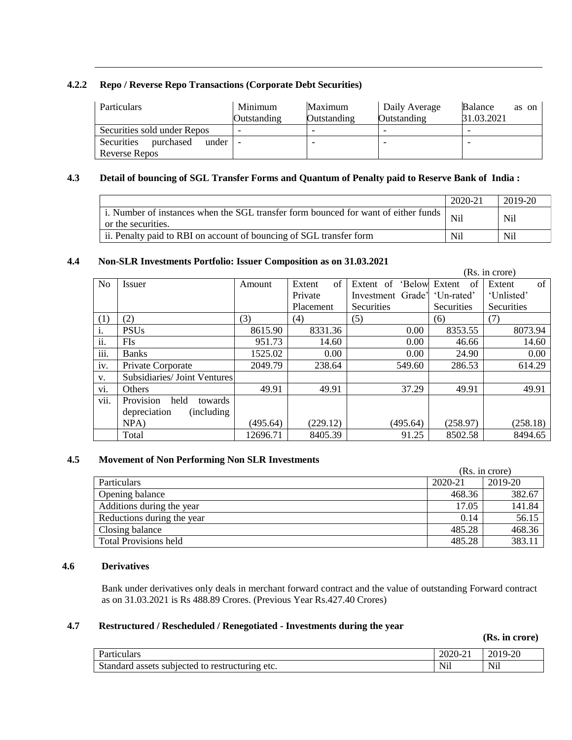### **4.2.2 Repo / Reverse Repo Transactions (Corporate Debt Securities)**

| Particulars                      | Minimum     | Maximum     | Daily Average | Balance<br>as on |
|----------------------------------|-------------|-------------|---------------|------------------|
|                                  | Outstanding | Outstanding | Outstanding   | 31.03.2021       |
| Securities sold under Repos      |             |             |               |                  |
| Securities<br>purchased<br>under |             |             |               |                  |
| Reverse Repos                    |             |             |               |                  |

### **4.3 Detail of bouncing of SGL Transfer Forms and Quantum of Penalty paid to Reserve Bank of India :**

|                                                                                                          | $2020 - 21$ | 2019-20 |
|----------------------------------------------------------------------------------------------------------|-------------|---------|
| i. Number of instances when the SGL transfer form bounced for want of either funds<br>or the securities. | Nil         | Nil     |
| ii. Penalty paid to RBI on account of bouncing of SGL transfer form                                      | Nil         | Nil     |

### **4.4 Non-SLR Investments Portfolio: Issuer Composition as on 31.03.2021**

|                | (Rs. in crore)               |          |              |                     |              |                   |  |  |  |  |  |  |  |  |
|----------------|------------------------------|----------|--------------|---------------------|--------------|-------------------|--|--|--|--|--|--|--|--|
| N <sub>o</sub> | <i>Issuer</i>                | Amount   | of<br>Extent | 'Below<br>Extent of | Extent<br>of | of<br>Extent      |  |  |  |  |  |  |  |  |
|                |                              |          | Private      | Investment Grade'   | 'Un-rated'   | 'Unlisted'        |  |  |  |  |  |  |  |  |
|                |                              |          | Placement    | <b>Securities</b>   | Securities   | <b>Securities</b> |  |  |  |  |  |  |  |  |
| (1)            | (2)                          | (3)      | (4)          | (5)                 | (6)          | (7)               |  |  |  |  |  |  |  |  |
| i.             | <b>PSUs</b>                  | 8615.90  | 8331.36      | 0.00                | 8353.55      | 8073.94           |  |  |  |  |  |  |  |  |
| ii.            | FIs                          | 951.73   | 14.60        | 0.00                | 46.66        | 14.60             |  |  |  |  |  |  |  |  |
| iii.           | <b>Banks</b>                 | 1525.02  | 0.00         | 0.00                | 24.90        | 0.00              |  |  |  |  |  |  |  |  |
| iv.            | Private Corporate            | 2049.79  | 238.64       | 549.60              | 286.53       | 614.29            |  |  |  |  |  |  |  |  |
| V.             | Subsidiaries/ Joint Ventures |          |              |                     |              |                   |  |  |  |  |  |  |  |  |
| VI.            | Others                       | 49.91    | 49.91        | 37.29               | 49.91        | 49.91             |  |  |  |  |  |  |  |  |
| vii.           | Provision<br>held<br>towards |          |              |                     |              |                   |  |  |  |  |  |  |  |  |
|                | depreciation<br>(including)  |          |              |                     |              |                   |  |  |  |  |  |  |  |  |
|                | NPA)                         | (495.64) | (229.12)     | (495.64)            | (258.97)     | (258.18)          |  |  |  |  |  |  |  |  |
|                | Total                        | 12696.71 | 8405.39      | 91.25               | 8502.58      | 8494.65           |  |  |  |  |  |  |  |  |

### **4.5 Movement of Non Performing Non SLR Investments**

|                              | (Rs. in crore) |         |  |  |  |  |  |
|------------------------------|----------------|---------|--|--|--|--|--|
| Particulars                  | 2020-21        | 2019-20 |  |  |  |  |  |
| Opening balance              | 468.36         | 382.67  |  |  |  |  |  |
| Additions during the year    | 17.05          | 141.84  |  |  |  |  |  |
| Reductions during the year   | 0.14           | 56.15   |  |  |  |  |  |
| Closing balance              | 485.28         | 468.36  |  |  |  |  |  |
| <b>Total Provisions held</b> | 485.28         | 383.11  |  |  |  |  |  |

#### **4.6 Derivatives**

Bank under derivatives only deals in merchant forward contract and the value of outstanding Forward contract as on 31.03.2021 is Rs 488.89 Crores. (Previous Year Rs.427.40 Crores)

### **4.7 Restructured / Rescheduled / Renegotiated - Investments during the year**

**(Rs. in crore)**

| Particulars                                                | 2020-21                                                               | $19-20$<br>201                           |
|------------------------------------------------------------|-----------------------------------------------------------------------|------------------------------------------|
| Standard .<br>assets subjected<br>restructuring etc.<br>to | $+ + +$<br>$N_{1}$<br>the contract of the contract of the contract of | Nil<br>the control of the control of the |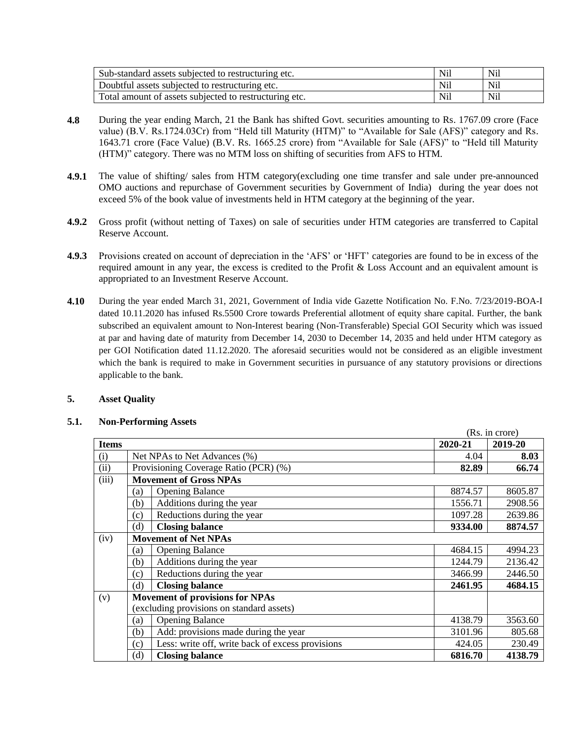| Sub-standard assets subjected to restructuring etc.    | Nil | N <sub>il</sub> |
|--------------------------------------------------------|-----|-----------------|
| Doubtful assets subjected to restructuring etc.        | Nil | <b>Nil</b>      |
| Total amount of assets subjected to restructuring etc. | Nil | Nil             |

- **4.8** During the year ending March, 21 the Bank has shifted Govt. securities amounting to Rs. 1767.09 crore (Face value) (B.V. Rs.1724.03Cr) from "Held till Maturity (HTM)" to "Available for Sale (AFS)" category and Rs. 1643.71 crore (Face Value) (B.V. Rs. 1665.25 crore) from "Available for Sale (AFS)" to "Held till Maturity (HTM)" category. There was no MTM loss on shifting of securities from AFS to HTM.
- **4.9.1** The value of shifting/ sales from HTM category(excluding one time transfer and sale under pre-announced OMO auctions and repurchase of Government securities by Government of India) during the year does not exceed 5% of the book value of investments held in HTM category at the beginning of the year.
- **4.9.2** Gross profit (without netting of Taxes) on sale of securities under HTM categories are transferred to Capital Reserve Account.
- **4.9.3** Provisions created on account of depreciation in the 'AFS' or 'HFT' categories are found to be in excess of the required amount in any year, the excess is credited to the Profit & Loss Account and an equivalent amount is appropriated to an Investment Reserve Account.
- **4.10**1. During the year ended March 31, 2021, Government of India vide Gazette Notification No. F.No. 7/23/2019-BOA-I dated 10.11.2020 has infused Rs.5500 Crore towards Preferential allotment of equity share capital. Further, the bank subscribed an equivalent amount to Non-Interest bearing (Non-Transferable) Special GOI Security which was issued at par and having date of maturity from December 14, 2030 to December 14, 2035 and held under HTM category as per GOI Notification dated 11.12.2020. The aforesaid securities would not be considered as an eligible investment which the bank is required to make in Government securities in pursuance of any statutory provisions or directions applicable to the bank.

### **5. Asset Quality**

#### **5.1. Non-Performing Assets**

|              |                               |                                                  |         | (Rs. in crore) |
|--------------|-------------------------------|--------------------------------------------------|---------|----------------|
| <b>Items</b> |                               |                                                  | 2020-21 | 2019-20        |
| (i)          |                               | Net NPAs to Net Advances (%)                     | 4.04    | 8.03           |
| (ii)         |                               | Provisioning Coverage Ratio (PCR) (%)            | 82.89   | 66.74          |
| (iii)        | <b>Movement of Gross NPAs</b> |                                                  |         |                |
|              | (a)                           | <b>Opening Balance</b>                           | 8874.57 | 8605.87        |
|              | (b)                           | Additions during the year                        | 1556.71 | 2908.56        |
|              | (c)                           | Reductions during the year                       | 1097.28 | 2639.86        |
|              | (d)                           | <b>Closing balance</b>                           | 9334.00 | 8874.57        |
| (iv)         |                               | <b>Movement of Net NPAs</b>                      |         |                |
|              | (a)                           | <b>Opening Balance</b>                           | 4684.15 | 4994.23        |
|              | (b)                           | Additions during the year                        | 1244.79 | 2136.42        |
|              | (c)                           | Reductions during the year                       | 3466.99 | 2446.50        |
|              | (d)                           | <b>Closing balance</b>                           | 2461.95 | 4684.15        |
| (v)          |                               | <b>Movement of provisions for NPAs</b>           |         |                |
|              |                               | (excluding provisions on standard assets)        |         |                |
|              | (a)                           | <b>Opening Balance</b>                           | 4138.79 | 3563.60        |
|              | (b)                           | Add: provisions made during the year             | 3101.96 | 805.68         |
|              | (c)                           | Less: write off, write back of excess provisions | 424.05  | 230.49         |
|              | (d)                           | <b>Closing balance</b>                           | 6816.70 | 4138.79        |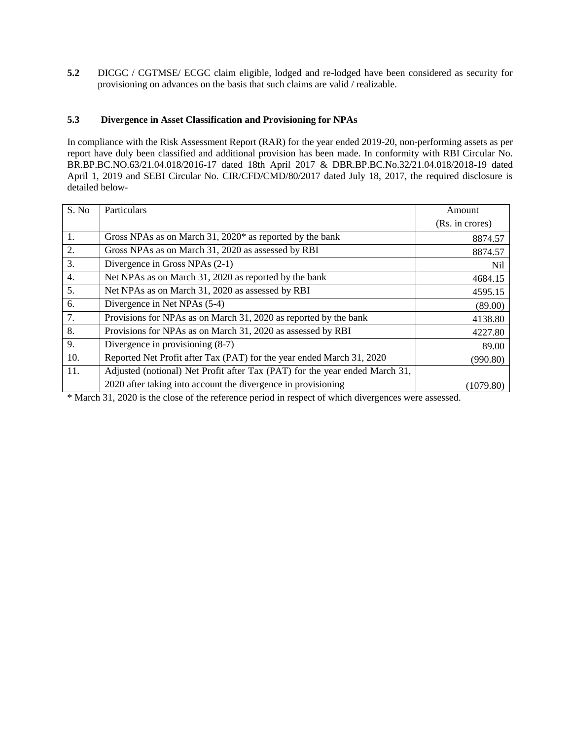**5.2** DICGC / CGTMSE/ ECGC claim eligible, lodged and re-lodged have been considered as security for provisioning on advances on the basis that such claims are valid / realizable.

### **5.3 Divergence in Asset Classification and Provisioning for NPAs**

In compliance with the Risk Assessment Report (RAR) for the year ended 2019-20, non-performing assets as per report have duly been classified and additional provision has been made. In conformity with RBI Circular No. BR.BP.BC.NO.63/21.04.018/2016-17 dated 18th April 2017 & DBR.BP.BC.No.32/21.04.018/2018-19 dated April 1, 2019 and SEBI Circular No. CIR/CFD/CMD/80/2017 dated July 18, 2017, the required disclosure is detailed below-

| S. No | Particulars                                                                 | Amount          |
|-------|-----------------------------------------------------------------------------|-----------------|
|       |                                                                             | (Rs. in crores) |
| 1.    | Gross NPAs as on March 31, $2020*$ as reported by the bank                  | 8874.57         |
| 2.    | Gross NPAs as on March 31, 2020 as assessed by RBI                          | 8874.57         |
| 3.    | Divergence in Gross NPAs (2-1)                                              | Nil             |
| 4.    | Net NPAs as on March 31, 2020 as reported by the bank                       | 4684.15         |
| 5.    | Net NPAs as on March 31, 2020 as assessed by RBI                            | 4595.15         |
| 6.    | Divergence in Net NPAs (5-4)                                                | (89.00)         |
| 7.    | Provisions for NPAs as on March 31, 2020 as reported by the bank            | 4138.80         |
| 8.    | Provisions for NPAs as on March 31, 2020 as assessed by RBI                 | 4227.80         |
| 9.    | Divergence in provisioning (8-7)                                            | 89.00           |
| 10.   | Reported Net Profit after Tax (PAT) for the year ended March 31, 2020       | (990.80)        |
| 11.   | Adjusted (notional) Net Profit after Tax (PAT) for the year ended March 31, |                 |
|       | 2020 after taking into account the divergence in provisioning               | (1079.80)       |

\* March 31, 2020 is the close of the reference period in respect of which divergences were assessed.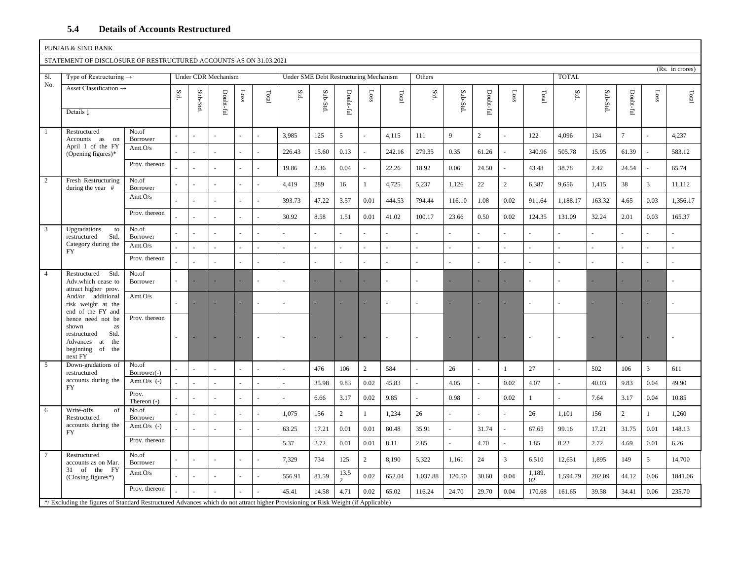#### **5.4 Details of Accounts Restructured**

|                | PUNJAB & SIND BANK                                                                                                                |                        |      |          |                     |         |                |                                        |          |                       |                |                |                      |                |                |                |              |                      |          |                |                |                 |
|----------------|-----------------------------------------------------------------------------------------------------------------------------------|------------------------|------|----------|---------------------|---------|----------------|----------------------------------------|----------|-----------------------|----------------|----------------|----------------------|----------------|----------------|----------------|--------------|----------------------|----------|----------------|----------------|-----------------|
|                | STATEMENT OF DISCLOSURE OF RESTRUCTURED ACCOUNTS AS ON 31.03.2021                                                                 |                        |      |          |                     |         |                |                                        |          |                       |                |                |                      |                |                |                |              |                      |          |                |                | (Rs. in crores) |
| S1.            | Type of Restructuring $\rightarrow$                                                                                               |                        |      |          | Under CDR Mechanism |         |                | Under SME Debt Restructuring Mechanism |          |                       |                |                | Others               |                |                |                |              | <b>TOTAL</b>         |          |                |                |                 |
| No.            | Asset Classification $\rightarrow$                                                                                                |                        | Std. | Sub-Std. | Doubt-ful           | $s$ osa | Total          | Std.                                   | Sub-Std. | Doubt-ful             | $\frac{1}{2}$  | $\mbox{Total}$ | $\operatorname{Std}$ | Sub-Std.       | Doubt-ful      | Loss           | $\rm Total$  | $\operatorname{Std}$ | Sub-Std. | Doubt-ful      | Loss           | Total           |
|                | Details $\downarrow$                                                                                                              |                        |      |          |                     |         |                |                                        |          |                       |                |                |                      |                |                |                |              |                      |          |                |                |                 |
| $\mathbf{1}$   | Restructured<br>Accounts as on                                                                                                    | No.of<br>Borrower      |      |          |                     |         |                | 3,985                                  | 125      | 5                     |                | 4,115          | 111                  | 9              | $\overline{2}$ |                | 122          | 4,096                | 134      | $\overline{7}$ |                | 4,237           |
|                | April 1 of the FY<br>(Opening figures) $*$                                                                                        | Amt. $O/s$             |      |          |                     |         | $\overline{a}$ | 226.43                                 | 15.60    | 0.13                  | L.             | 242.16         | 279.35               | 0.35           | 61.26          | $\sim$         | 340.96       | 505.78               | 15.95    | 61.39          | L.             | 583.12          |
|                |                                                                                                                                   | Prov. thereon          |      |          |                     |         |                | 19.86                                  | 2.36     | 0.04                  |                | 22.26          | 18.92                | 0.06           | 24.50          |                | 43.48        | 38.78                | 2.42     | 24.54          |                | 65.74           |
| 2              | Fresh Restructuring<br>during the year $#$                                                                                        | No.of<br>Borrower      |      | L.       |                     |         | L.             | 4,419                                  | 289      | 16                    | $\mathbf{1}$   | 4,725          | 5,237                | 1,126          | 22             | $\overline{2}$ | 6,387        | 9,656                | 1,415    | 38             | $\overline{3}$ | 11,112          |
|                |                                                                                                                                   | Amt.O/s                |      |          |                     |         | $\overline{a}$ | 393.73                                 | 47.22    | 3.57                  | 0.01           | 444.53         | 794.44               | 116.10         | 1.08           | 0.02           | 911.64       | 1,188.17             | 163.32   | 4.65           | 0.03           | 1,356.17        |
|                |                                                                                                                                   | Prov. thereon          |      |          |                     |         |                | 30.92                                  | 8.58     | 1.51                  | $0.01\,$       | 41.02          | 100.17               | 23.66          | 0.50           | 0.02           | 124.35       | 131.09               | 32.24    | 2.01           | 0.03           | 165.37          |
| 3              | Upgradations<br>to<br>restructured<br>Std.                                                                                        | No.of<br>Borrower      |      |          |                     |         | $\overline{a}$ |                                        |          |                       |                |                |                      |                |                |                |              |                      |          |                |                |                 |
|                | Category during the<br><b>FY</b>                                                                                                  | Amt.O/s                |      |          |                     |         | $\overline{a}$ |                                        |          | ÷.                    |                |                |                      |                |                |                |              |                      |          | $\sim$         |                |                 |
|                |                                                                                                                                   | Prov. thereon          |      |          |                     |         |                |                                        |          |                       |                |                |                      |                |                |                |              |                      |          | $\sim$         |                |                 |
| $\overline{4}$ | Std.<br>Restructured<br>Adv.which cease to<br>attract higher prov.                                                                | No.of<br>Borrower      |      |          | ÷                   |         |                |                                        |          |                       | ä,             |                |                      |                |                |                |              |                      |          | ÷.             |                |                 |
|                | And/or additional<br>risk weight at the<br>end of the FY and                                                                      | Amt.O/s                |      |          | $\sim$              |         | ä,             |                                        |          |                       | ÷              |                |                      |                |                |                |              |                      |          | ÷              | ٠              |                 |
|                | hence need not be<br>shown<br>as<br>Std.<br>restructured<br>Advances at the<br>beginning of the<br>next FY                        | Prov. thereon          |      |          |                     |         |                |                                        |          |                       |                |                |                      |                |                |                |              |                      |          | ÷              |                |                 |
| 5              | Down-gradations of<br>restructured                                                                                                | No.of<br>Borrower(-)   |      |          |                     |         |                |                                        | 476      | 106                   | $\overline{2}$ | 584            |                      | 26             |                | 1              | 27           |                      | 502      | 106            | $\mathfrak{Z}$ | 611             |
|                | accounts during the<br><b>FY</b>                                                                                                  | Amt.O/s $(-)$          |      |          |                     |         | u.             |                                        | 35.98    | 9.83                  | 0.02           | 45.83          |                      | 4.05           |                | 0.02           | 4.07         |                      | 40.03    | 9.83           | 0.04           | 49.90           |
|                |                                                                                                                                   | Prov.<br>Thereon $(-)$ |      |          | $\sim$              |         | L.             |                                        | 6.66     | 3.17                  | 0.02           | 9.85           |                      | 0.98           |                | 0.02           | 1            |                      | 7.64     | 3.17           | 0.04           | 10.85           |
| 6              | Write-offs<br>of<br>Restructured                                                                                                  | No.of<br>Borrower      |      |          |                     |         | $\overline{a}$ | 1,075                                  | 156      | $\mathbf{2}$          | $\mathbf{1}$   | 1,234          | 26                   | $\sim$         |                |                | 26           | 1,101                | 156      | $\sqrt{2}$     | $\mathbf{1}$   | 1.260           |
|                | accounts during the<br><b>FY</b>                                                                                                  | Amt.O/s $(-)$          |      |          |                     |         |                | 63.25                                  | 17.21    | 0.01                  | 0.01           | 80.48          | 35.91                | $\overline{a}$ | 31.74          |                | 67.65        | 99.16                | 17.21    | 31.75          | 0.01           | 148.13          |
|                |                                                                                                                                   | Prov. thereon          |      |          |                     |         |                | 5.37                                   | 2.72     | 0.01                  | 0.01           | 8.11           | 2.85                 | $\overline{a}$ | 4.70           | $\sim$         | 1.85         | 8.22                 | 2.72     | 4.69           | 0.01           | 6.26            |
| $\tau$         | Restructured<br>accounts as on Mar.                                                                                               | No.of<br>Borrower      |      |          |                     |         |                | 7,329                                  | 734      | 125                   | $\overline{2}$ | 8,190          | 5,322                | 1,161          | 24             | $\mathfrak{Z}$ | 6.510        | 12,651               | 1,895    | 149            | 5              | 14,700          |
|                | 31 of the FY<br>(Closing figures*)                                                                                                | Amt.O/s                |      |          |                     |         | $\overline{a}$ | 556.91                                 | 81.59    | 13.5<br>$\mathcal{D}$ | 0.02           | 652.04         | 1,037.88             | 120.50         | 30.60          | 0.04           | 1,189.<br>02 | 1,594.79             | 202.09   | 44.12          | 0.06           | 1841.06         |
|                |                                                                                                                                   | Prov. thereon          |      |          |                     |         |                | 45.41                                  | 14.58    | 4.71                  | 0.02           | 65.02          | 116.24               | 24.70          | 29.70          | 0.04           | 170.68       | 161.65               | 39.58    | 34.41          | 0.06           | 235.70          |
|                | */Excluding the figures of Standard Restructured Advances which do not attract higher Provisioning or Risk Weight (if Applicable) |                        |      |          |                     |         |                |                                        |          |                       |                |                |                      |                |                |                |              |                      |          |                |                |                 |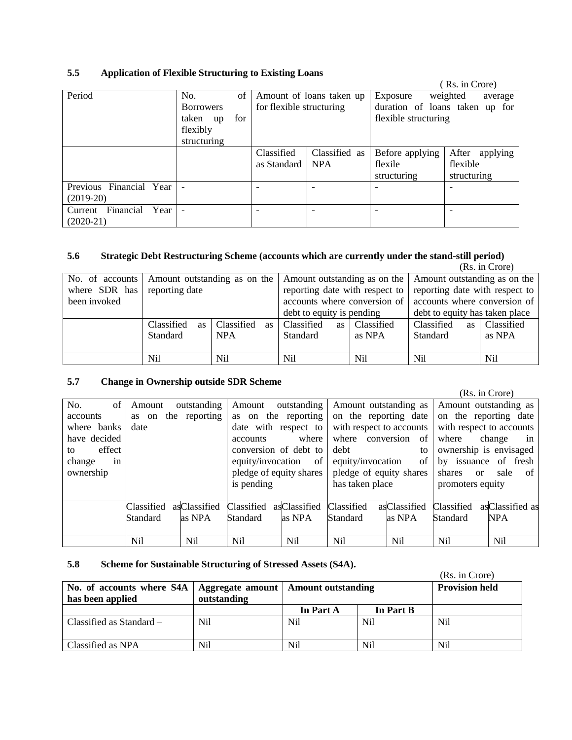# **5.5 Application of Flexible Structuring to Existing Loans**

|                           |                  |      |                          |                          |                      | (Rs. in Crore)                 |
|---------------------------|------------------|------|--------------------------|--------------------------|----------------------|--------------------------------|
| Period                    | No.              | of 1 |                          | Amount of loans taken up | Exposure             | weighted<br>average            |
|                           | <b>Borrowers</b> |      | for flexible structuring |                          |                      | duration of loans taken up for |
|                           | taken up         | for  |                          |                          | flexible structuring |                                |
|                           | flexibly         |      |                          |                          |                      |                                |
|                           | structuring      |      |                          |                          |                      |                                |
|                           |                  |      | Classified               | Classified as            | Before applying      | After<br>applying              |
|                           |                  |      | as Standard              | <b>NPA</b>               | flexile              | flexible                       |
|                           |                  |      |                          |                          | structuring          | structuring                    |
| Previous Financial Year   |                  |      |                          |                          |                      |                                |
| $(2019-20)$               |                  |      |                          |                          |                      |                                |
| Financial Year<br>Current |                  |      |                          |                          |                      |                                |
| $(2020-21)$               |                  |      |                          |                          |                      |                                |

### **5.6 Strategic Debt Restructuring Scheme (accounts which are currently under the stand-still period)**

|                 |                              |                         |                                |            |                                                             | (Rs. in Crore) |
|-----------------|------------------------------|-------------------------|--------------------------------|------------|-------------------------------------------------------------|----------------|
| No. of accounts | Amount outstanding as on the |                         |                                |            | Amount outstanding as on the   Amount outstanding as on the |                |
| where SDR has   | reporting date               |                         | reporting date with respect to |            | reporting date with respect to                              |                |
| been invoked    |                              |                         | accounts where conversion of   |            | accounts where conversion of                                |                |
|                 |                              |                         | debt to equity is pending      |            | debt to equity has taken place                              |                |
|                 | Classified<br><b>as</b>      | Classified<br><b>as</b> | Classified<br>as               | Classified | Classified<br>as                                            | Classified     |
|                 | Standard                     | <b>NPA</b>              | Standard                       | as NPA     | Standard                                                    | as NPA         |
|                 |                              |                         |                                |            |                                                             |                |
|                 | Nil                          | Nil                     | Nil                            | Nil        | Nil                                                         | Nil            |

# **5.7 Change in Ownership outside SDR Scheme**

|              |            |               |                 |                         |                          |              |                  | (Rs. in Crore)           |
|--------------|------------|---------------|-----------------|-------------------------|--------------------------|--------------|------------------|--------------------------|
| No.<br>of    | Amount     | outstanding   | Amount          | outstanding             | Amount outstanding as    |              |                  | Amount outstanding as    |
| accounts     | as on      | the reporting |                 | as on the reporting     | on the reporting date    |              |                  | on the reporting date    |
| where banks  | date       |               |                 | date with respect to    | with respect to accounts |              |                  | with respect to accounts |
| have decided |            |               | <i>accounts</i> | where                   | where conversion         | of           | where            | change<br>in             |
| effect<br>to |            |               |                 | conversion of debt to   | debt                     | to           |                  | ownership is envisaged   |
| change<br>in |            |               |                 | equity/invocation of    | equity/invocation        | of           |                  | by issuance of fresh     |
| ownership    |            |               |                 | pledge of equity shares | pledge of equity shares  |              | shares           | sale<br>$\alpha$<br>of   |
|              |            |               | is pending      |                         | has taken place          |              | promoters equity |                          |
|              |            |               |                 |                         |                          |              |                  |                          |
|              | Classified | asClassified  | Classified      | asClassified            | Classified               | asClassified | Classified       | asClassified as          |
|              | Standard   | as NPA        | Standard        | as NPA                  | Standard                 | as NPA       | Standard         | <b>NPA</b>               |
|              |            |               |                 |                         |                          |              |                  |                          |
|              | Nil        | Nil           | Nil             | Nil                     | Nil                      | Nil          | Nil              | Nil                      |

### **5.8 Scheme for Sustainable Structuring of Stressed Assets (S4A).**

|                                                                                       |             |                |           | (Rs. in Crore)        |
|---------------------------------------------------------------------------------------|-------------|----------------|-----------|-----------------------|
| No. of accounts where S4A   Aggregate amount   Amount outstanding<br>has been applied | outstanding |                |           | <b>Provision held</b> |
|                                                                                       |             | In Part A      | In Part B |                       |
| Classified as Standard –                                                              | Nil         | N <sub>i</sub> | Nil       | Nil                   |
| Classified as NPA                                                                     | Nil         | Nil            | Nil       | Nil                   |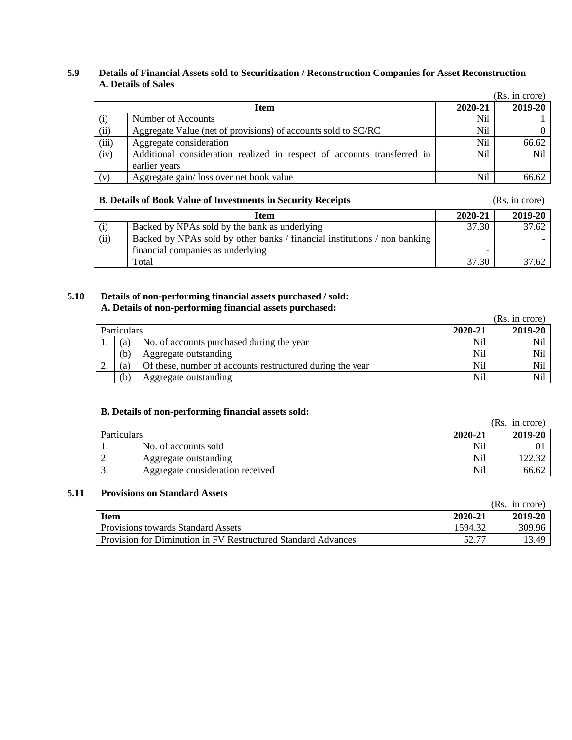### **5.9 Details of Financial Assets sold to Securitization / Reconstruction Companies for Asset Reconstruction A. Details of Sales**

|       |                                                                                          |         | (Rs. in crore)  |
|-------|------------------------------------------------------------------------------------------|---------|-----------------|
|       | <b>Item</b>                                                                              | 2020-21 | 2019-20         |
| (i)   | Number of Accounts                                                                       | Nil     |                 |
| (ii)  | Aggregate Value (net of provisions) of accounts sold to SC/RC                            | Nil     | 0               |
| (iii) | Aggregate consideration                                                                  | Nil     | 66.62           |
| (iv)  | Additional consideration realized in respect of accounts transferred in<br>earlier years | Nil     | N <sub>il</sub> |
| (v)   | Aggregate gain/loss over net book value                                                  | Nil     | 66.62           |

# **B. Details of Book Value of Investments in Security Receipts** (Rs. in crore)

|      | Item                                                                      | 2020-21 | 2019-20 |
|------|---------------------------------------------------------------------------|---------|---------|
| (i)  | Backed by NPAs sold by the bank as underlying                             | 37.30   | 37.62   |
| (ii) | Backed by NPAs sold by other banks / financial institutions / non banking |         |         |
|      | financial companies as underlying                                         |         |         |
|      | Total                                                                     | 37.30   | 37.62   |

### **5.10 Details of non-performing financial assets purchased / sold: A. Details of non-performing financial assets purchased:**

|    |                    |                                                           |         | (Rs. in crore) |
|----|--------------------|-----------------------------------------------------------|---------|----------------|
|    | <b>Particulars</b> |                                                           | 2020-21 | 2019-20        |
|    | (a)                | No. of accounts purchased during the year                 | Nil     | Nil            |
|    | (b)                | Aggregate outstanding                                     | Nil     | Nil            |
| ٠. | (a)                | Of these, number of accounts restructured during the year | Nil     | Nil            |
|    | (b)                | Aggregate outstanding                                     | Nil     | Nil            |

### **B. Details of non-performing financial assets sold:**

|                    |                                  |         | (Rs. in crore) |
|--------------------|----------------------------------|---------|----------------|
| <b>Particulars</b> |                                  | 2020-21 | 2019-20        |
|                    | No. of accounts sold             | Nil     |                |
| <u>L.</u>          | Aggregate outstanding            | Nil     |                |
| <u>.</u>           | Aggregate consideration received | Nil     | 66.62          |

# **5.11 Provisions on Standard Assets**

|                                                               |         | (Rs. in crore) |
|---------------------------------------------------------------|---------|----------------|
| <b>Item</b>                                                   | 2020-21 | 2019-20        |
| <b>Provisions towards Standard Assets</b>                     | 1594.32 | 309.96         |
| Provision for Diminution in FV Restructured Standard Advances | 50.77   | 13.49          |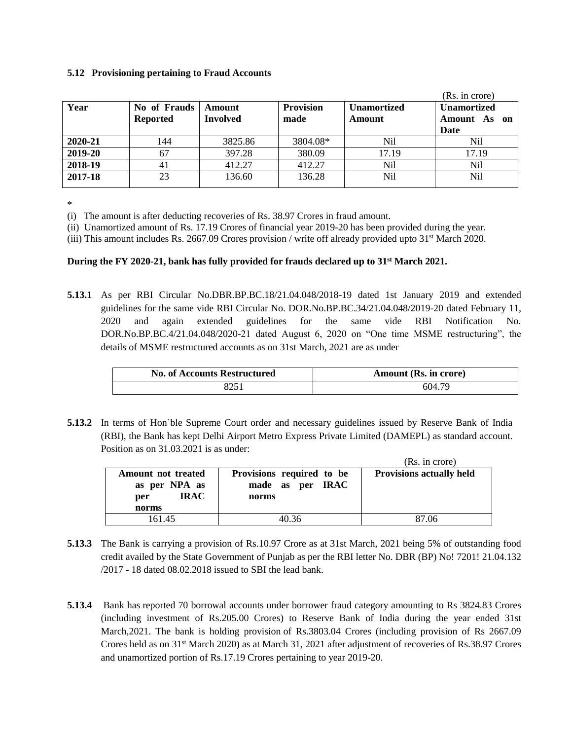#### **5.12 Provisioning pertaining to Fraud Accounts**

|         |                                 |                    |                          |                              | (Rs. in crore)                             |
|---------|---------------------------------|--------------------|--------------------------|------------------------------|--------------------------------------------|
| Year    | No of Frauds<br><b>Reported</b> | Amount<br>Involved | <b>Provision</b><br>made | <b>Unamortized</b><br>Amount | <b>Unamortized</b><br>Amount As on<br>Date |
| 2020-21 | 144                             | 3825.86            | 3804.08*                 | Nil                          | Nil                                        |
| 2019-20 | 67                              | 397.28             | 380.09                   | 17.19                        | 17.19                                      |
| 2018-19 | 41                              | 412.27             | 412.27                   | Nil                          | Nil                                        |
| 2017-18 | 23                              | 136.60             | 136.28                   | Nil                          | Nil                                        |

\*

(i) The amount is after deducting recoveries of Rs. 38.97 Crores in fraud amount.

(ii) Unamortized amount of Rs. 17.19 Crores of financial year 2019-20 has been provided during the year.

(iii) This amount includes Rs. 2667.09 Crores provision / write off already provided upto 31st March 2020.

### **During the FY 2020-21, bank has fully provided for frauds declared up to 31st March 2021.**

**5.13.1** As per RBI Circular No.DBR.BP.BC.18/21.04.048/2018-19 dated 1st January 2019 and extended guidelines for the same vide RBI Circular No. DOR.No.BP.BC.34/21.04.048/2019-20 dated February 11, 2020 and again extended guidelines for the same vide RBI Notification No. DOR.No.BP.BC.4/21.04.048/2020-21 dated August 6, 2020 on "One time MSME restructuring", the details of MSME restructured accounts as on 31st March, 2021 are as under

| <b>No. of Accounts Restructured</b> | <b>Amount (Rs. in crore)</b> |
|-------------------------------------|------------------------------|
|                                     | 604.79                       |

**5.13.2** In terms of Hon'ble Supreme Court order and necessary guidelines issued by Reserve Bank of India (RBI), the Bank has kept Delhi Airport Metro Express Private Limited (DAMEPL) as standard account. Position as on 31.03.2021 is as under:

|                                                                    |                                                        | (Rs. in crore)                  |
|--------------------------------------------------------------------|--------------------------------------------------------|---------------------------------|
| Amount not treated<br>as per NPA as<br><b>IRAC</b><br>per<br>norms | Provisions required to be<br>made as per IRAC<br>norms | <b>Provisions actually held</b> |
| 161.45                                                             | 40 36                                                  | 87.06                           |

- **5.13.3** The Bank is carrying a provision of Rs.10.97 Crore as at 31st March, 2021 being 5% of outstanding food credit availed by the State Government of Punjab as per the RBI letter No. DBR (BP) No! 7201! 21.04.132 /2017 - 18 dated 08.02.2018 issued to SBI the lead bank.
- **5.13.4** Bank has reported 70 borrowal accounts under borrower fraud category amounting to Rs 3824.83 Crores (including investment of Rs.205.00 Crores) to Reserve Bank of India during the year ended 31st March,2021. The bank is holding provision of Rs.3803.04 Crores (including provision of Rs 2667.09 Crores held as on 31st March 2020) as at March 31, 2021 after adjustment of recoveries of Rs.38.97 Crores and unamortized portion of Rs.17.19 Crores pertaining to year 2019-20.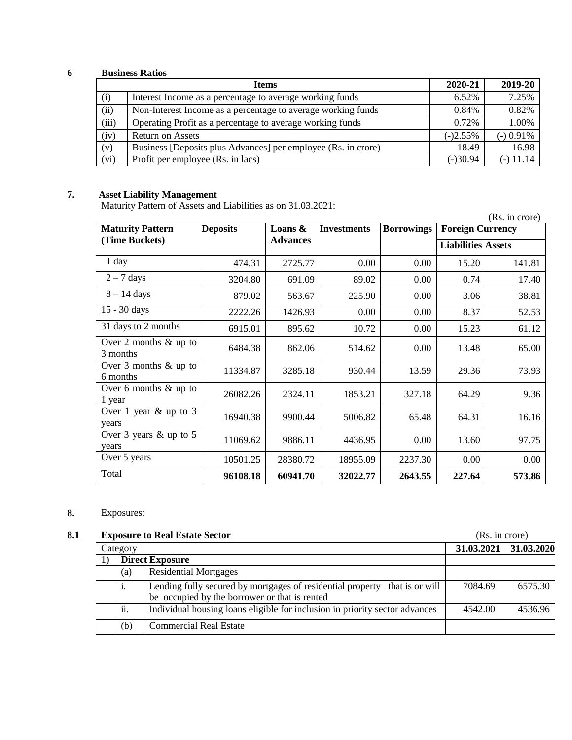# **6 Business Ratios**

|       | <b>Items</b>                                                  | 2020-21    | 2019-20     |
|-------|---------------------------------------------------------------|------------|-------------|
| (i)   | Interest Income as a percentage to average working funds      | 6.52%      | 7.25%       |
| (ii)  | Non-Interest Income as a percentage to average working funds  | 0.84%      | 0.82%       |
| (iii) | Operating Profit as a percentage to average working funds     | $0.72\%$   | 1.00%       |
| (iv)  | <b>Return on Assets</b>                                       | $(-)2.55%$ | $(-)$ 0.91% |
| (v)   | Business [Deposits plus Advances] per employee (Rs. in crore) | 18.49      | 16.98       |
| (vi)  | Profit per employee (Rs. in lacs)                             | $(-)30.94$ | $(-)$ 11.14 |

### **7. Asset Liability Management**

Maturity Pattern of Assets and Liabilities as on 31.03.2021:

|                                     | $m$ and $n$ is a set of $n$ and $m$ and $m$ and $m$ and $m$ is $m$ . If $m$ is $m$ is $m$ is $m$ is $m$ is $m$ is $m$ is $m$ is $m$ is $m$ is $m$ is $m$ is $m$ is $m$ is $m$ is $m$ is $m$ is $m$ is $m$ is $m$ is $m$ is $m$<br>(Rs. in crore) |                 |                    |                   |                           |          |  |  |  |
|-------------------------------------|--------------------------------------------------------------------------------------------------------------------------------------------------------------------------------------------------------------------------------------------------|-----------------|--------------------|-------------------|---------------------------|----------|--|--|--|
| <b>Maturity Pattern</b>             | <b>Deposits</b>                                                                                                                                                                                                                                  | Loans $\&$      | <b>Investments</b> | <b>Borrowings</b> | <b>Foreign Currency</b>   |          |  |  |  |
| (Time Buckets)                      |                                                                                                                                                                                                                                                  | <b>Advances</b> |                    |                   | <b>Liabilities Assets</b> |          |  |  |  |
| $1$ day                             | 474.31                                                                                                                                                                                                                                           | 2725.77         | 0.00               | 0.00              | 15.20                     | 141.81   |  |  |  |
| $2 - 7$ days                        | 3204.80                                                                                                                                                                                                                                          | 691.09          | 89.02              | 0.00              | 0.74                      | 17.40    |  |  |  |
| $8 - 14$ days                       | 879.02                                                                                                                                                                                                                                           | 563.67          | 225.90             | 0.00              | 3.06                      | 38.81    |  |  |  |
| 15 - 30 days                        | 2222.26                                                                                                                                                                                                                                          | 1426.93         | 0.00               | 0.00              | 8.37                      | 52.53    |  |  |  |
| 31 days to 2 months                 | 6915.01                                                                                                                                                                                                                                          | 895.62          | 10.72              | 0.00              | 15.23                     | 61.12    |  |  |  |
| Over 2 months $&$ up to<br>3 months | 6484.38                                                                                                                                                                                                                                          | 862.06          | 514.62             | 0.00              | 13.48                     | 65.00    |  |  |  |
| Over 3 months $&$ up to<br>6 months | 11334.87                                                                                                                                                                                                                                         | 3285.18         | 930.44             | 13.59             | 29.36                     | 73.93    |  |  |  |
| Over 6 months $\&$ up to<br>1 year  | 26082.26                                                                                                                                                                                                                                         | 2324.11         | 1853.21            | 327.18            | 64.29                     | 9.36     |  |  |  |
| Over 1 year $&$ up to 3<br>years    | 16940.38                                                                                                                                                                                                                                         | 9900.44         | 5006.82            | 65.48             | 64.31                     | 16.16    |  |  |  |
| Over 3 years $&$ up to 5<br>years   | 11069.62                                                                                                                                                                                                                                         | 9886.11         | 4436.95            | 0.00              | 13.60                     | 97.75    |  |  |  |
| Over 5 years                        | 10501.25                                                                                                                                                                                                                                         | 28380.72        | 18955.09           | 2237.30           | 0.00                      | $0.00\,$ |  |  |  |
| Total                               | 96108.18                                                                                                                                                                                                                                         | 60941.70        | 32022.77           | 2643.55           | 227.64                    | 573.86   |  |  |  |

# **8.** Exposures:

# **8.1 Exposure to Real Estate Sector** (Rs. in crore)

| <b>Empopule to Ileal Eptate Dector</b> |                                                                                                                             |            |            |
|----------------------------------------|-----------------------------------------------------------------------------------------------------------------------------|------------|------------|
| Category                               |                                                                                                                             | 31.03.2021 | 31.03.2020 |
|                                        | <b>Direct Exposure</b>                                                                                                      |            |            |
| (a)                                    | <b>Residential Mortgages</b>                                                                                                |            |            |
| i.                                     | Lending fully secured by mortgages of residential property that is or will<br>be occupied by the borrower or that is rented | 7084.69    | 6575.30    |
| ii.                                    | Individual housing loans eligible for inclusion in priority sector advances                                                 | 4542.00    | 4536.96    |
| (b)                                    | <b>Commercial Real Estate</b>                                                                                               |            |            |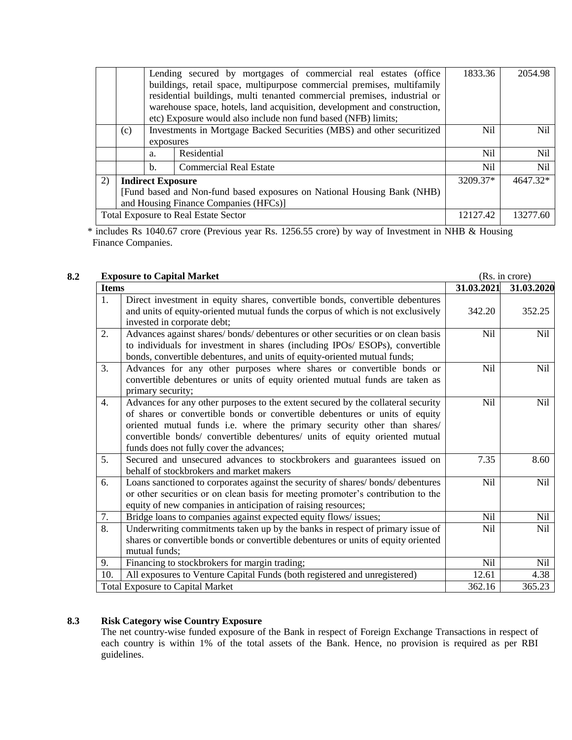|                                                                         |                                       |                | Lending secured by mortgages of commercial real estates (office<br>buildings, retail space, multipurpose commercial premises, multifamily | 1833.36        | 2054.98    |  |  |
|-------------------------------------------------------------------------|---------------------------------------|----------------|-------------------------------------------------------------------------------------------------------------------------------------------|----------------|------------|--|--|
|                                                                         |                                       |                | residential buildings, multi tenanted commercial premises, industrial or                                                                  |                |            |  |  |
|                                                                         |                                       |                | warehouse space, hotels, land acquisition, development and construction,                                                                  |                |            |  |  |
|                                                                         |                                       |                | etc) Exposure would also include non fund based (NFB) limits;                                                                             |                |            |  |  |
|                                                                         | (c)                                   |                | Investments in Mortgage Backed Securities (MBS) and other securitized                                                                     | Ni1            | <b>Nil</b> |  |  |
|                                                                         |                                       | exposures      |                                                                                                                                           |                |            |  |  |
|                                                                         |                                       | a.             | Residential                                                                                                                               | Ni1            | <b>Nil</b> |  |  |
|                                                                         |                                       | $\mathbf{b}$ . | <b>Commercial Real Estate</b>                                                                                                             | N <sub>i</sub> | Nil        |  |  |
| 2)                                                                      | <b>Indirect Exposure</b>              |                |                                                                                                                                           |                | 4647.32*   |  |  |
| [Fund based and Non-fund based exposures on National Housing Bank (NHB) |                                       |                |                                                                                                                                           |                |            |  |  |
|                                                                         | and Housing Finance Companies (HFCs)] |                |                                                                                                                                           |                |            |  |  |
|                                                                         |                                       |                | <b>Total Exposure to Real Estate Sector</b>                                                                                               | 12127.42       | 13277.60   |  |  |

\* includes Rs 1040.67 crore (Previous year Rs. 1256.55 crore) by way of Investment in NHB & Housing Finance Companies.

# **8.2 Exposure to Capital Market** (Rs. in crore)

| Ελρυδιάτ το Capital Markt                                                                                                                                                                                                                                                                                                                                                   |            | $(15.11 \text{ C}101)$ |
|-----------------------------------------------------------------------------------------------------------------------------------------------------------------------------------------------------------------------------------------------------------------------------------------------------------------------------------------------------------------------------|------------|------------------------|
| <b>Items</b>                                                                                                                                                                                                                                                                                                                                                                | 31.03.2021 | 31.03.2020             |
| Direct investment in equity shares, convertible bonds, convertible debentures<br>1.<br>and units of equity-oriented mutual funds the corpus of which is not exclusively<br>invested in corporate debt;                                                                                                                                                                      | 342.20     | 352.25                 |
| Advances against shares/bonds/debentures or other securities or on clean basis<br>2.<br>to individuals for investment in shares (including IPOs/ ESOPs), convertible<br>bonds, convertible debentures, and units of equity-oriented mutual funds;                                                                                                                           | <b>Nil</b> | Nil                    |
| 3.<br>Advances for any other purposes where shares or convertible bonds or<br>convertible debentures or units of equity oriented mutual funds are taken as<br>primary security;                                                                                                                                                                                             | <b>Nil</b> | Nil                    |
| Advances for any other purposes to the extent secured by the collateral security<br>4.<br>of shares or convertible bonds or convertible debentures or units of equity<br>oriented mutual funds i.e. where the primary security other than shares/<br>convertible bonds/ convertible debentures/ units of equity oriented mutual<br>funds does not fully cover the advances; | <b>Nil</b> | N <sub>il</sub>        |
| 5.<br>Secured and unsecured advances to stockbrokers and guarantees issued on<br>behalf of stockbrokers and market makers                                                                                                                                                                                                                                                   | 7.35       | 8.60                   |
| Loans sanctioned to corporates against the security of shares/bonds/debentures<br>6.<br>or other securities or on clean basis for meeting promoter's contribution to the<br>equity of new companies in anticipation of raising resources;                                                                                                                                   | <b>Nil</b> | <b>Nil</b>             |
| 7.<br>Bridge loans to companies against expected equity flows/ issues;                                                                                                                                                                                                                                                                                                      | Nil        | Nil                    |
| 8.<br>Underwriting commitments taken up by the banks in respect of primary issue of<br>shares or convertible bonds or convertible debentures or units of equity oriented<br>mutual funds;                                                                                                                                                                                   | Nil        | <b>Nil</b>             |
| Financing to stockbrokers for margin trading;<br>9.                                                                                                                                                                                                                                                                                                                         | <b>Nil</b> | Nil                    |
| All exposures to Venture Capital Funds (both registered and unregistered)<br>10.                                                                                                                                                                                                                                                                                            | 12.61      | 4.38                   |
| <b>Total Exposure to Capital Market</b>                                                                                                                                                                                                                                                                                                                                     | 362.16     | 365.23                 |

#### **8.3 Risk Category wise Country Exposure**

The net country-wise funded exposure of the Bank in respect of Foreign Exchange Transactions in respect of each country is within 1% of the total assets of the Bank. Hence, no provision is required as per RBI guidelines.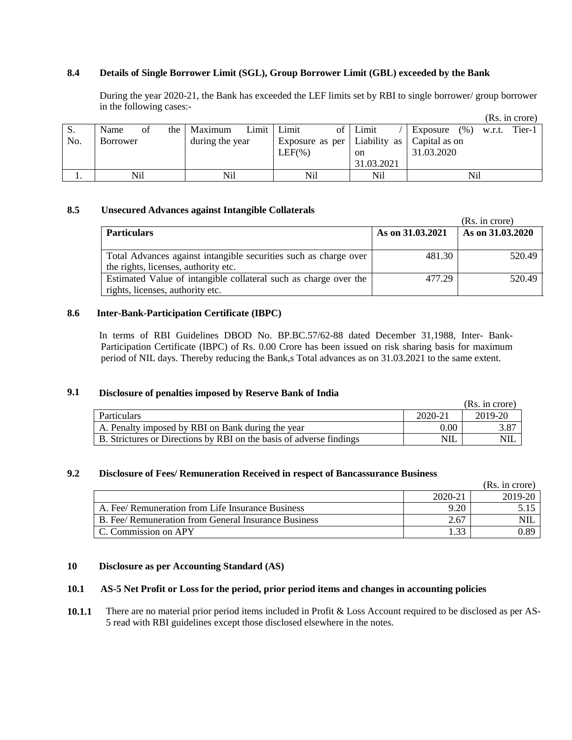### **8.4 Details of Single Borrower Limit (SGL), Group Borrower Limit (GBL) exceeded by the Bank**

During the year 2020-21, the Bank has exceeded the LEF limits set by RBI to single borrower/ group borrower in the following cases:-

|     |                 |             |                 |             |               |                                                      |     |               | (Rs. in crore) |
|-----|-----------------|-------------|-----------------|-------------|---------------|------------------------------------------------------|-----|---------------|----------------|
| S.  | Name            | the 1<br>οt | Maximum         | Limit Limit | of   Limit    | Exposure                                             |     | $(\%)$ w.r.t. | Tier-1         |
| No. | <b>Borrower</b> |             | during the year |             |               | Exposure as per   Liability as $\vert$ Capital as on |     |               |                |
|     |                 |             |                 | $LEF(\%)$   | <sub>on</sub> | 31.03.2020                                           |     |               |                |
|     |                 |             |                 |             | 31.03.2021    |                                                      |     |               |                |
|     | Nil             |             | Nil             | Nil         | Nil           |                                                      | Nil |               |                |

#### **8.5 Unsecured Advances against Intangible Collaterals**

|                                                                                                          |                  | (Rs. in crore)   |
|----------------------------------------------------------------------------------------------------------|------------------|------------------|
| <b>Particulars</b>                                                                                       | As on 31.03.2021 | As on 31.03.2020 |
| Total Advances against intangible securities such as charge over<br>the rights, licenses, authority etc. | 481.30           | 520.49           |
| Estimated Value of intangible collateral such as charge over the<br>rights, licenses, authority etc.     | 477.29           | 520.49           |

### **8.6 Inter-Bank-Participation Certificate (IBPC)**

 In terms of RBI Guidelines DBOD No. BP.BC.57/62-88 dated December 31,1988, Inter- Bank-Participation Certificate (IBPC) of Rs. 0.00 Crore has been issued on risk sharing basis for maximum period of NIL days. Thereby reducing the Bank,s Total advances as on 31.03.2021 to the same extent.

### **9.1 Disclosure of penalties imposed by Reserve Bank of India**

|                                                                     |            | (Rs. in core) |
|---------------------------------------------------------------------|------------|---------------|
| Particulars                                                         | 2020-21    | 2019-20       |
| A. Penalty imposed by RBI on Bank during the year                   | 0.00       | 3.87          |
| B. Strictures or Directions by RBI on the basis of adverse findings | <b>NIL</b> | <b>NIL</b>    |

# **9.2 Disclosure of Fees/ Remuneration Received in respect of Bancassurance Business**

|                                                      |               | (Rs. in crore) |
|------------------------------------------------------|---------------|----------------|
|                                                      | 2020-21       | 2019-20        |
| A. Fee/ Remuneration from Life Insurance Business    | 9.20          |                |
| B. Fee/ Remuneration from General Insurance Business | 2.67          | NIL            |
| C. Commission on APY                                 | $\mathcal{L}$ | 0.89           |

### **10 Disclosure as per Accounting Standard (AS)**

#### **10.1 AS-5 Net Profit or Loss for the period, prior period items and changes in accounting policies**

**10.1.1** There are no material prior period items included in Profit & Loss Account required to be disclosed as per AS-5 read with RBI guidelines except those disclosed elsewhere in the notes.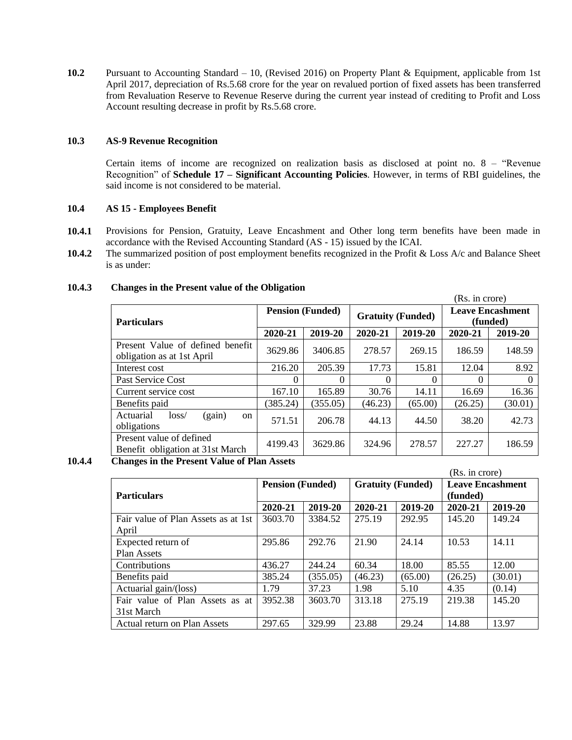**10.2** Pursuant to Accounting Standard – 10, (Revised 2016) on Property Plant & Equipment, applicable from 1st April 2017, depreciation of Rs.5.68 crore for the year on revalued portion of fixed assets has been transferred from Revaluation Reserve to Revenue Reserve during the current year instead of crediting to Profit and Loss Account resulting decrease in profit by Rs.5.68 crore.

### **10.3 AS-9 Revenue Recognition**

Certain items of income are recognized on realization basis as disclosed at point no. 8 – "Revenue Recognition" of **Schedule 17 – Significant Accounting Policies**. However, in terms of RBI guidelines, the said income is not considered to be material.

### **10.4 AS 15 - Employees Benefit**

- **10.4.1** Provisions for Pension, Gratuity, Leave Encashment and Other long term benefits have been made in accordance with the Revised Accounting Standard (AS - 15) issued by the ICAI.
- **10.4.2** The summarized position of post employment benefits recognized in the Profit & Loss A/c and Balance Sheet is as under:

|                                                                |                         |          |          |                          | (Rs. in crore)                      |          |
|----------------------------------------------------------------|-------------------------|----------|----------|--------------------------|-------------------------------------|----------|
| <b>Particulars</b>                                             | <b>Pension (Funded)</b> |          |          | <b>Gratuity (Funded)</b> | <b>Leave Encashment</b><br>(funded) |          |
|                                                                | 2020-21                 | 2019-20  | 2020-21  | 2019-20                  | 2020-21                             | 2019-20  |
| Present Value of defined benefit<br>obligation as at 1st April | 3629.86                 | 3406.85  | 278.57   | 269.15                   | 186.59                              | 148.59   |
| Interest cost                                                  | 216.20                  | 205.39   | 17.73    | 15.81                    | 12.04                               | 8.92     |
| Past Service Cost                                              | 0                       | 0        | $\Omega$ | $\Omega$                 | 0                                   | $\theta$ |
| Current service cost                                           | 167.10                  | 165.89   | 30.76    | 14.11                    | 16.69                               | 16.36    |
| Benefits paid                                                  | (385.24)                | (355.05) | (46.23)  | (65.00)                  | (26.25)                             | (30.01)  |
| (gain)<br>Actuarial<br>loss/<br><sub>on</sub><br>obligations   | 571.51                  | 206.78   | 44.13    | 44.50                    | 38.20                               | 42.73    |
| Present value of defined<br>Benefit obligation at 31st March   | 4199.43                 | 3629.86  | 324.96   | 278.57                   | 227.27                              | 186.59   |

### **10.4.3 Changes in the Present value of the Obligation**

**10.4.4 Changes in the Present Value of Plan Assets** 

|                                     |                         |          |                          |         | (Rs. in crore)                      |         |  |
|-------------------------------------|-------------------------|----------|--------------------------|---------|-------------------------------------|---------|--|
| <b>Particulars</b>                  | <b>Pension (Funded)</b> |          | <b>Gratuity (Funded)</b> |         | <b>Leave Encashment</b><br>(funded) |         |  |
|                                     | 2020-21                 | 2019-20  | 2020-21                  | 2019-20 | 2020-21                             | 2019-20 |  |
| Fair value of Plan Assets as at 1st | 3603.70                 | 3384.52  | 275.19                   | 292.95  | 145.20                              | 149.24  |  |
| April                               |                         |          |                          |         |                                     |         |  |
| Expected return of                  | 295.86                  | 292.76   | 21.90                    | 24.14   | 10.53                               | 14.11   |  |
| Plan Assets                         |                         |          |                          |         |                                     |         |  |
| Contributions                       | 436.27                  | 244.24   | 60.34                    | 18.00   | 85.55                               | 12.00   |  |
| Benefits paid                       | 385.24                  | (355.05) | (46.23)                  | (65.00) | (26.25)                             | (30.01) |  |
| Actuarial gain/(loss)               | 1.79                    | 37.23    | 1.98                     | 5.10    | 4.35                                | (0.14)  |  |
| Fair value of Plan Assets as at     | 3952.38                 | 3603.70  | 313.18                   | 275.19  | 219.38                              | 145.20  |  |
| 31st March                          |                         |          |                          |         |                                     |         |  |
| Actual return on Plan Assets        | 297.65                  | 329.99   | 23.88                    | 29.24   | 14.88                               | 13.97   |  |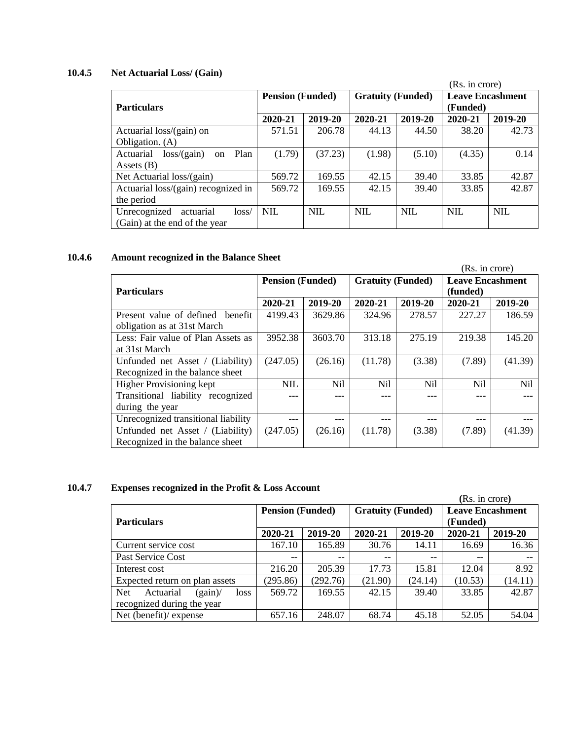### **10.4.5 Net Actuarial Loss/ (Gain)**

|                                        |                         |            |                          |            | (Rs. in crore)          |            |
|----------------------------------------|-------------------------|------------|--------------------------|------------|-------------------------|------------|
|                                        | <b>Pension (Funded)</b> |            | <b>Gratuity (Funded)</b> |            | <b>Leave Encashment</b> |            |
| <b>Particulars</b>                     |                         |            |                          |            | (Funded)                |            |
|                                        | 2020-21                 | 2019-20    | 2020-21                  | 2019-20    | 2020-21                 | 2019-20    |
| Actuarial loss/(gain) on               | 571.51                  | 206.78     | 44.13                    | 44.50      | 38.20                   | 42.73      |
| Obligation. (A)                        |                         |            |                          |            |                         |            |
| Actuarial<br>loss/(gain)<br>Plan<br>on | (1.79)                  | (37.23)    | (1.98)                   | (5.10)     | (4.35)                  | 0.14       |
| Assets $(B)$                           |                         |            |                          |            |                         |            |
| Net Actuarial loss/(gain)              | 569.72                  | 169.55     | 42.15                    | 39.40      | 33.85                   | 42.87      |
| Actuarial loss/(gain) recognized in    | 569.72                  | 169.55     | 42.15                    | 39.40      | 33.85                   | 42.87      |
| the period                             |                         |            |                          |            |                         |            |
| Unrecognized<br>actuarial<br>loss/     | <b>NIL</b>              | <b>NIL</b> | <b>NIL</b>               | <b>NIL</b> | <b>NIL</b>              | <b>NIL</b> |
| (Gain) at the end of the year          |                         |            |                          |            |                         |            |

# **10.4.6 Amount recognized in the Balance Sheet**

|                                                                     |                         |                |                          |                | (Rs. in crore)                      |            |  |
|---------------------------------------------------------------------|-------------------------|----------------|--------------------------|----------------|-------------------------------------|------------|--|
| <b>Particulars</b>                                                  | <b>Pension (Funded)</b> |                | <b>Gratuity (Funded)</b> |                | <b>Leave Encashment</b><br>(funded) |            |  |
|                                                                     | 2020-21                 | 2019-20        | 2020-21                  | 2019-20        | 2020-21                             | 2019-20    |  |
| Present value of defined benefit<br>obligation as at 31st March     | 4199.43                 | 3629.86        | 324.96                   | 278.57         | 227.27                              | 186.59     |  |
| Less: Fair value of Plan Assets as<br>at 31st March                 | 3952.38                 | 3603.70        | 313.18                   | 275.19         | 219.38                              | 145.20     |  |
| Unfunded net Asset / (Liability)<br>Recognized in the balance sheet | (247.05)                | (26.16)        | (11.78)                  | (3.38)         | (7.89)                              | (41.39)    |  |
| <b>Higher Provisioning kept</b>                                     | NIL                     | N <sub>i</sub> | N <sub>i</sub>           | N <sub>i</sub> | Nil                                 | <b>Nil</b> |  |
| Transitional liability recognized<br>during the year                |                         | ---            |                          | ---            |                                     |            |  |
| Unrecognized transitional liability                                 | ---                     | ---            | ---                      | ---            |                                     |            |  |
| Unfunded net Asset / (Liability)<br>Recognized in the balance sheet | (247.05)                | (26.16)        | (11.78)                  | (3.38)         | (7.89)                              | (41.39)    |  |

# **10.4.7 Expenses recognized in the Profit & Loss Account**

|                                            |                         |                          |                          |                                                                 | (Rs. in crore) |         |  |
|--------------------------------------------|-------------------------|--------------------------|--------------------------|-----------------------------------------------------------------|----------------|---------|--|
| <b>Particulars</b>                         | <b>Pension (Funded)</b> |                          |                          | <b>Gratuity (Funded)</b><br><b>Leave Encashment</b><br>(Funded) |                |         |  |
|                                            | 2020-21                 | 2019-20                  | 2020-21                  | 2019-20                                                         | 2020-21        | 2019-20 |  |
| Current service cost                       | 167.10                  | 165.89                   | 30.76                    | 14.11                                                           | 16.69          | 16.36   |  |
| Past Service Cost                          | $\qquad \qquad -$       | $\overline{\phantom{m}}$ | $\overline{\phantom{m}}$ | $- -$                                                           | $- -$          |         |  |
| Interest cost                              | 216.20                  | 205.39                   | 17.73                    | 15.81                                                           | 12.04          | 8.92    |  |
| Expected return on plan assets             | (295.86)                | (292.76)                 | (21.90)                  | (24.14)                                                         | (10.53)        | (14.11) |  |
| <b>Net</b><br>Actuarial<br>(gain)<br>loss. | 569.72                  | 169.55                   | 42.15                    | 39.40                                                           | 33.85          | 42.87   |  |
| recognized during the year                 |                         |                          |                          |                                                                 |                |         |  |
| Net (benefit)/ expense                     | 657.16                  | 248.07                   | 68.74                    | 45.18                                                           | 52.05          | 54.04   |  |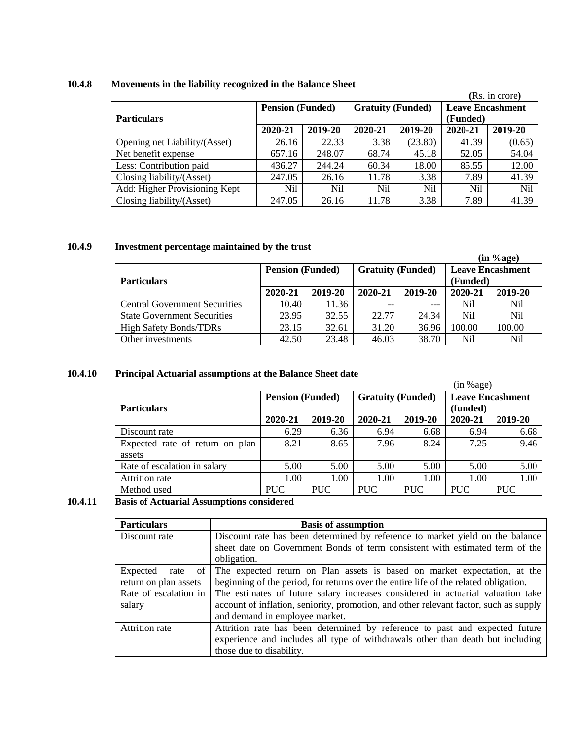# **10.4.8 Movements in the liability recognized in the Balance Sheet**

|                               |                                          |        |                          |         |                                     | (Rs. in crore) |  |
|-------------------------------|------------------------------------------|--------|--------------------------|---------|-------------------------------------|----------------|--|
| <b>Particulars</b>            | <b>Pension (Funded)</b>                  |        | <b>Gratuity (Funded)</b> |         | <b>Leave Encashment</b><br>(Funded) |                |  |
|                               | 2019-20<br>2020-21<br>2020-21<br>2019-20 |        | 2020-21                  | 2019-20 |                                     |                |  |
| Opening net Liability/(Asset) | 26.16                                    | 22.33  | 3.38                     | (23.80) | 41.39                               | (0.65)         |  |
| Net benefit expense           | 657.16                                   | 248.07 | 68.74                    | 45.18   | 52.05                               | 54.04          |  |
| Less: Contribution paid       | 436.27                                   | 244.24 | 60.34                    | 18.00   | 85.55                               | 12.00          |  |
| Closing liability/(Asset)     | 247.05                                   | 26.16  | 11.78                    | 3.38    | 7.89                                | 41.39          |  |
| Add: Higher Provisioning Kept | Nil                                      | Nil    | Nil                      | Nil     | Nil                                 | <b>Nil</b>     |  |
| Closing liability/(Asset)     | 247.05                                   | 26.16  | 11.78                    | 3.38    | 7.89                                | 41.39          |  |

# **10.4.9 Investment percentage maintained by the trust**

|                                      |                         |         |                          |         |                                     | (in %age) |
|--------------------------------------|-------------------------|---------|--------------------------|---------|-------------------------------------|-----------|
| <b>Particulars</b>                   | <b>Pension (Funded)</b> |         | <b>Gratuity (Funded)</b> |         | <b>Leave Encashment</b><br>(Funded) |           |
|                                      | 2020-21                 | 2019-20 | 2020-21                  | 2019-20 | 2020-21                             | 2019-20   |
| <b>Central Government Securities</b> | 10.40                   | 11.36   | $-$                      | $---$   | Nil                                 | Nil       |
| <b>State Government Securities</b>   | 23.95                   | 32.55   | 22.77                    | 24.34   | Nil                                 | Nil       |
| <b>High Safety Bonds/TDRs</b>        | 23.15                   | 32.61   | 31.20                    | 36.96   | 100.00                              | 100.00    |
| Other investments                    | 42.50                   | 23.48   | 46.03                    | 38.70   | Nil                                 | Nil       |

### **10.4.10 Principal Actuarial assumptions at the Balance Sheet date**

|                                 |                         |            |                          |            | (in %age)               |         |
|---------------------------------|-------------------------|------------|--------------------------|------------|-------------------------|---------|
|                                 | <b>Pension (Funded)</b> |            | <b>Gratuity (Funded)</b> |            | <b>Leave Encashment</b> |         |
| <b>Particulars</b>              |                         |            |                          |            | (funded)                |         |
|                                 | 2020-21                 | 2019-20    | 2020-21                  | 2019-20    | 2020-21                 | 2019-20 |
| Discount rate                   | 6.29                    | 6.36       | 6.94                     | 6.68       | 6.94                    | 6.68    |
| Expected rate of return on plan | 8.21                    | 8.65       | 7.96                     | 8.24       | 7.25                    | 9.46    |
| assets                          |                         |            |                          |            |                         |         |
| Rate of escalation in salary    | 5.00                    | 5.00       | 5.00                     | 5.00       | 5.00                    | 5.00    |
| Attrition rate                  | 1.00                    | 1.00       | 1.00                     | 1.00       | 1.00                    | 1.00    |
| Method used                     | <b>PUC</b>              | <b>PUC</b> | <b>PUC</b>               | <b>PUC</b> | <b>PUC</b>              | PUC.    |

# **10.4.11 Basis of Actuarial Assumptions considered**

| <b>Particulars</b>    | <b>Basis of assumption</b>                                                            |
|-----------------------|---------------------------------------------------------------------------------------|
| Discount rate         | Discount rate has been determined by reference to market yield on the balance         |
|                       | sheet date on Government Bonds of term consistent with estimated term of the          |
|                       | obligation.                                                                           |
| Expected<br>rate of   | The expected return on Plan assets is based on market expectation, at the             |
| return on plan assets | beginning of the period, for returns over the entire life of the related obligation.  |
| Rate of escalation in | The estimates of future salary increases considered in actuarial valuation take       |
| salary                | account of inflation, seniority, promotion, and other relevant factor, such as supply |
|                       | and demand in employee market.                                                        |
| <b>Attrition</b> rate | Attrition rate has been determined by reference to past and expected future           |
|                       | experience and includes all type of withdrawals other than death but including        |
|                       | those due to disability.                                                              |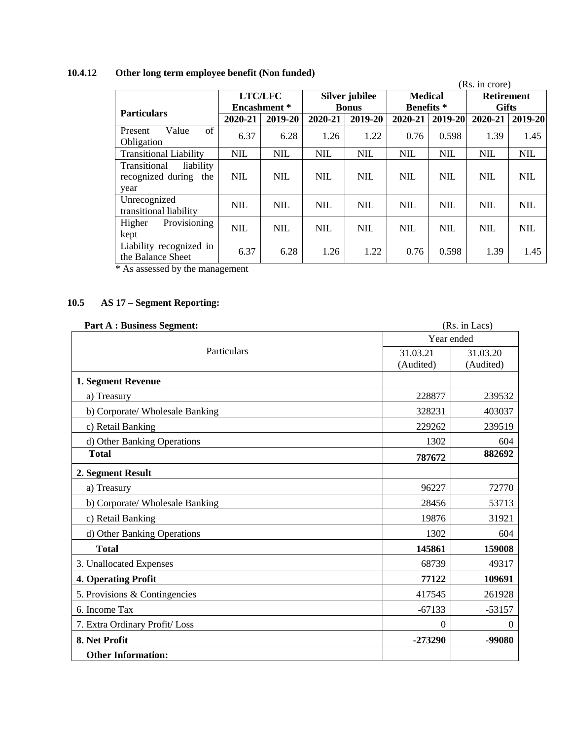# **10.4.12 Other long term employee benefit (Non funded)**

|                                                               |                                                    |                     |            |                   |                   |             | (Rs. in crore) |            |
|---------------------------------------------------------------|----------------------------------------------------|---------------------|------------|-------------------|-------------------|-------------|----------------|------------|
|                                                               | <b>LTC/LFC</b><br><b>Medical</b><br>Silver jubilee |                     |            | <b>Retirement</b> |                   |             |                |            |
| <b>Particulars</b>                                            |                                                    | <b>Encashment</b> * |            | <b>Bonus</b>      | <b>Benefits</b> * |             | <b>Gifts</b>   |            |
|                                                               | 2020-21                                            | 2019-20             | 2020-21    | 2019-20           | 2020-21           | $2019 - 20$ | 2020-21        | 2019-20    |
| of<br>Value<br>Present<br>Obligation                          | 6.37                                               | 6.28                | 1.26       | 1.22              | 0.76              | 0.598       | 1.39           | 1.45       |
| <b>Transitional Liability</b>                                 | <b>NIL</b>                                         | <b>NIL</b>          | <b>NIL</b> | <b>NIL</b>        | <b>NIL</b>        | <b>NIL</b>  | <b>NIL</b>     | <b>NIL</b> |
| liability<br>Transitional<br>recognized during<br>the<br>year | NIL.                                               | <b>NIL</b>          | <b>NIL</b> | <b>NIL</b>        | <b>NIL</b>        | <b>NIL</b>  | <b>NIL</b>     | <b>NIL</b> |
| Unrecognized<br>transitional liability                        | <b>NIL</b>                                         | <b>NIL</b>          | <b>NIL</b> | <b>NIL</b>        | <b>NIL</b>        | <b>NIL</b>  | <b>NIL</b>     | <b>NIL</b> |
| Provisioning<br>Higher<br>kept                                | <b>NIL</b>                                         | <b>NIL</b>          | <b>NIL</b> | <b>NIL</b>        | <b>NIL</b>        | <b>NIL</b>  | <b>NIL</b>     | <b>NIL</b> |
| Liability recognized in<br>the Balance Sheet                  | 6.37                                               | 6.28                | 1.26       | 1.22              | 0.76              | 0.598       | 1.39           | 1.45       |

\* As assessed by the management

# **10.5 AS 17 – Segment Reporting:**

| <b>Part A: Business Segment:</b> | (Rs. in Lacs) |            |  |
|----------------------------------|---------------|------------|--|
|                                  |               | Year ended |  |
| Particulars                      | 31.03.21      | 31.03.20   |  |
|                                  | (Audited)     | (Audited)  |  |
| 1. Segment Revenue               |               |            |  |
| a) Treasury                      | 228877        | 239532     |  |
| b) Corporate/ Wholesale Banking  | 328231        | 403037     |  |
| c) Retail Banking                | 229262        | 239519     |  |
| d) Other Banking Operations      | 1302          | 604        |  |
| <b>Total</b>                     | 787672        | 882692     |  |
| 2. Segment Result                |               |            |  |
| a) Treasury                      | 96227         | 72770      |  |
| b) Corporate/ Wholesale Banking  | 28456         | 53713      |  |
| c) Retail Banking                | 19876         | 31921      |  |
| d) Other Banking Operations      | 1302          | 604        |  |
| <b>Total</b>                     | 145861        | 159008     |  |
| 3. Unallocated Expenses          | 68739         | 49317      |  |
| <b>4. Operating Profit</b>       | 77122         | 109691     |  |
| 5. Provisions & Contingencies    | 417545        | 261928     |  |
| 6. Income Tax                    | $-67133$      | $-53157$   |  |
| 7. Extra Ordinary Profit/Loss    | $\theta$      | $\Omega$   |  |
| 8. Net Profit                    | -273290       | -99080     |  |
| <b>Other Information:</b>        |               |            |  |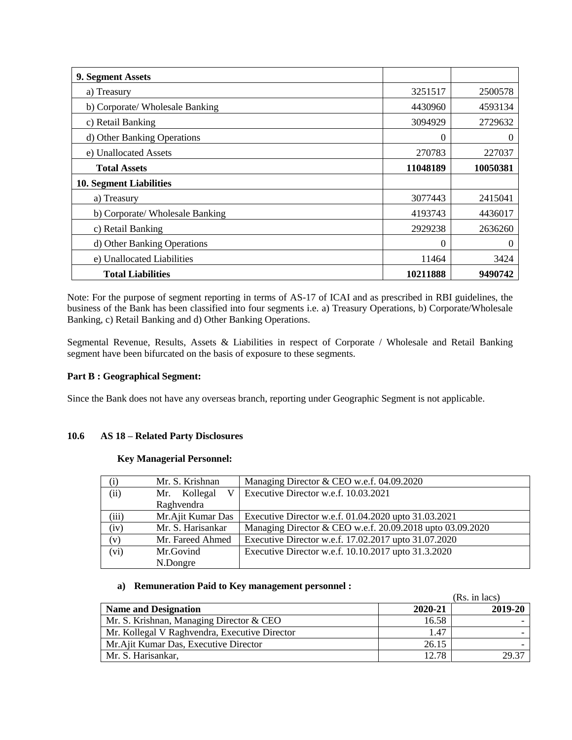| 9. Segment Assets               |          |          |
|---------------------------------|----------|----------|
| a) Treasury                     | 3251517  | 2500578  |
| b) Corporate/ Wholesale Banking | 4430960  | 4593134  |
| c) Retail Banking               | 3094929  | 2729632  |
| d) Other Banking Operations     | $\theta$ | $\Omega$ |
| e) Unallocated Assets           | 270783   | 227037   |
| <b>Total Assets</b>             | 11048189 | 10050381 |
| <b>10. Segment Liabilities</b>  |          |          |
| a) Treasury                     | 3077443  | 2415041  |
| b) Corporate/ Wholesale Banking | 4193743  | 4436017  |
| c) Retail Banking               | 2929238  | 2636260  |
| d) Other Banking Operations     | 0        | $\theta$ |
| e) Unallocated Liabilities      | 11464    | 3424     |
| <b>Total Liabilities</b>        | 10211888 | 9490742  |

Note: For the purpose of segment reporting in terms of AS-17 of ICAI and as prescribed in RBI guidelines, the business of the Bank has been classified into four segments i.e. a) Treasury Operations, b) Corporate/Wholesale Banking, c) Retail Banking and d) Other Banking Operations.

Segmental Revenue, Results, Assets & Liabilities in respect of Corporate / Wholesale and Retail Banking segment have been bifurcated on the basis of exposure to these segments.

### **Part B : Geographical Segment:**

Since the Bank does not have any overseas branch, reporting under Geographic Segment is not applicable.

### **10.6 AS 18 – Related Party Disclosures**

### **Key Managerial Personnel:**

| $\rm(i)$ | Mr. S. Krishnan   | Managing Director & CEO w.e.f. 04.09.2020                 |
|----------|-------------------|-----------------------------------------------------------|
| (ii)     | Kollegal<br>Mr.   | Executive Director w.e.f. 10.03.2021                      |
|          | Raghvendra        |                                                           |
| (iii)    | Mr.Ajit Kumar Das | Executive Director w.e.f. 01.04.2020 upto 31.03.2021      |
| (iv)     | Mr. S. Harisankar | Managing Director & CEO w.e.f. 20.09.2018 upto 03.09.2020 |
| (v)      | Mr. Fareed Ahmed  | Executive Director w.e.f. 17.02.2017 upto 31.07.2020      |
| (vi)     | Mr.Govind         | Executive Director w.e.f. 10.10.2017 upto 31.3.2020       |
|          | N.Dongre          |                                                           |

# **a) Remuneration Paid to Key management personnel :**

|                                               |         | (Rs. in lacs) |
|-----------------------------------------------|---------|---------------|
| <b>Name and Designation</b>                   | 2020-21 | 2019-20       |
| Mr. S. Krishnan, Managing Director & CEO      | 16.58   |               |
| Mr. Kollegal V Raghvendra, Executive Director | 1.47    |               |
| Mr. Ajit Kumar Das, Executive Director        | 26.15   |               |
| Mr. S. Harisankar.                            | 12.78   | 29.37         |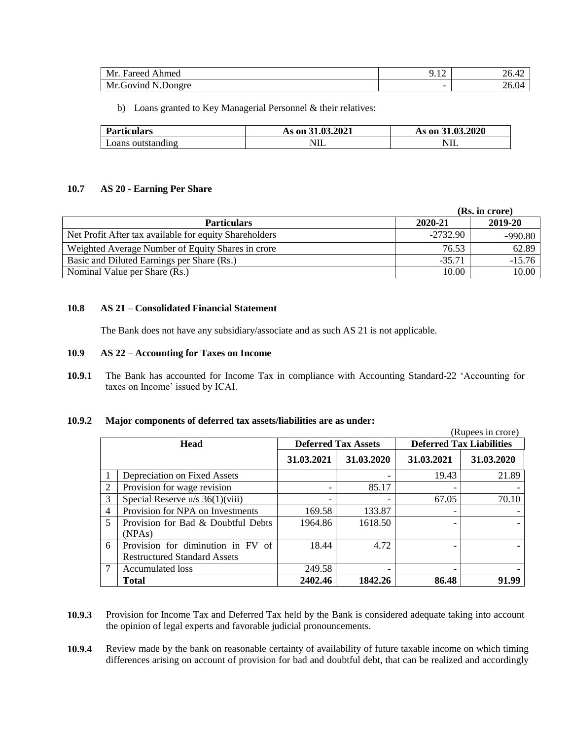| Mr.<br>Ahmed<br>Fareed                  | $\sim$<br>, <i>. .</i>   | . .<br>40.44                                            |
|-----------------------------------------|--------------------------|---------------------------------------------------------|
| D<br>Mr.<br>N<br>N.Dongre<br>" Govind L | $\overline{\phantom{0}}$ | $\left( \right)$ $\left( \right)$<br>$\angle U$ . $U^*$ |

b) Loans granted to Key Managerial Personnel & their relatives:

| <b>Particulars</b> | As on 31.03.2021 | As on 31,03,2020 |
|--------------------|------------------|------------------|
| Loans outstanding  | 11 L             | 11 L             |

### **10.7 AS 20 - Earning Per Share**

|                                                        | (Rs. in crore) |           |
|--------------------------------------------------------|----------------|-----------|
| <b>Particulars</b>                                     | 2020-21        | 2019-20   |
| Net Profit After tax available for equity Shareholders | $-2732.90$     | $-990.80$ |
| Weighted Average Number of Equity Shares in crore      | 76.53          | 62.89     |
| Basic and Diluted Earnings per Share (Rs.)             | $-35.71$       | $-15.76$  |
| Nominal Value per Share (Rs.)                          | 10.00          | 10.00     |

### **10.8 AS 21 – Consolidated Financial Statement**

The Bank does not have any subsidiary/associate and as such AS 21 is not applicable.

#### **10.9 AS 22 – Accounting for Taxes on Income**

**10.9.1** The Bank has accounted for Income Tax in compliance with Accounting Standard-22 'Accounting for taxes on Income' issued by ICAI.

### **10.9.2 Major components of deferred tax assets/liabilities are as under:**

|                |                                     |                            |            |                                 | (Rupees in crore) |
|----------------|-------------------------------------|----------------------------|------------|---------------------------------|-------------------|
|                | <b>Head</b>                         | <b>Deferred Tax Assets</b> |            | <b>Deferred Tax Liabilities</b> |                   |
|                |                                     | 31.03.2021                 | 31.03.2020 | 31.03.2021                      | 31.03.2020        |
|                | Depreciation on Fixed Assets        |                            |            | 19.43                           | 21.89             |
| $\mathfrak{D}$ | Provision for wage revision         | $\overline{\phantom{0}}$   | 85.17      | $\overline{\phantom{a}}$        |                   |
| 3              | Special Reserve $u/s$ 36(1)(viii)   |                            |            | 67.05                           | 70.10             |
| $\overline{4}$ | Provision for NPA on Investments    | 169.58                     | 133.87     |                                 |                   |
| 5              | Provision for Bad & Doubtful Debts  | 1964.86                    | 1618.50    |                                 |                   |
|                | (NPAs)                              |                            |            |                                 |                   |
| 6              | Provision for diminution in FV of   | 18.44                      | 4.72       |                                 |                   |
|                | <b>Restructured Standard Assets</b> |                            |            |                                 |                   |
|                | <b>Accumulated loss</b>             | 249.58                     |            |                                 |                   |
|                | <b>Total</b>                        | 2402.46                    | 1842.26    | 86.48                           | 91.99             |

**10.9.3** Provision for Income Tax and Deferred Tax held by the Bank is considered adequate taking into account the opinion of legal experts and favorable judicial pronouncements.

**10.9.4** Review made by the bank on reasonable certainty of availability of future taxable income on which timing differences arising on account of provision for bad and doubtful debt, that can be realized and accordingly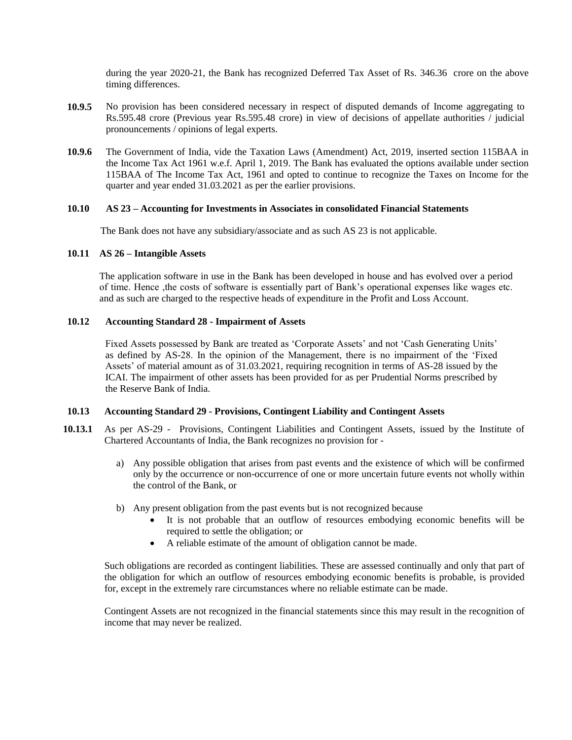during the year 2020-21, the Bank has recognized Deferred Tax Asset of Rs. 346.36 crore on the above timing differences.

- **10.9.5** No provision has been considered necessary in respect of disputed demands of Income aggregating to Rs.595.48 crore (Previous year Rs.595.48 crore) in view of decisions of appellate authorities / judicial pronouncements / opinions of legal experts.
- **10.9.6** The Government of India, vide the Taxation Laws (Amendment) Act, 2019, inserted section 115BAA in the Income Tax Act 1961 w.e.f. April 1, 2019. The Bank has evaluated the options available under section 115BAA of The Income Tax Act, 1961 and opted to continue to recognize the Taxes on Income for the quarter and year ended 31.03.2021 as per the earlier provisions.

### **10.10 AS 23 – Accounting for Investments in Associates in consolidated Financial Statements**

The Bank does not have any subsidiary/associate and as such AS 23 is not applicable.

### **10.11 AS 26 – Intangible Assets**

The application software in use in the Bank has been developed in house and has evolved over a period of time. Hence ,the costs of software is essentially part of Bank's operational expenses like wages etc. and as such are charged to the respective heads of expenditure in the Profit and Loss Account.

### **10.12 Accounting Standard 28 - Impairment of Assets**

Fixed Assets possessed by Bank are treated as 'Corporate Assets' and not 'Cash Generating Units' as defined by AS-28. In the opinion of the Management, there is no impairment of the 'Fixed Assets' of material amount as of 31.03.2021, requiring recognition in terms of AS-28 issued by the ICAI. The impairment of other assets has been provided for as per Prudential Norms prescribed by the Reserve Bank of India.

#### **10.13 Accounting Standard 29 - Provisions, Contingent Liability and Contingent Assets**

- **10.13.1** As per AS-29 Provisions, Contingent Liabilities and Contingent Assets, issued by the Institute of Chartered Accountants of India, the Bank recognizes no provision for
	- a) Any possible obligation that arises from past events and the existence of which will be confirmed only by the occurrence or non-occurrence of one or more uncertain future events not wholly within the control of the Bank, or
	- b) Any present obligation from the past events but is not recognized because
		- It is not probable that an outflow of resources embodying economic benefits will be required to settle the obligation; or
		- A reliable estimate of the amount of obligation cannot be made.

Such obligations are recorded as contingent liabilities. These are assessed continually and only that part of the obligation for which an outflow of resources embodying economic benefits is probable, is provided for, except in the extremely rare circumstances where no reliable estimate can be made.

Contingent Assets are not recognized in the financial statements since this may result in the recognition of income that may never be realized.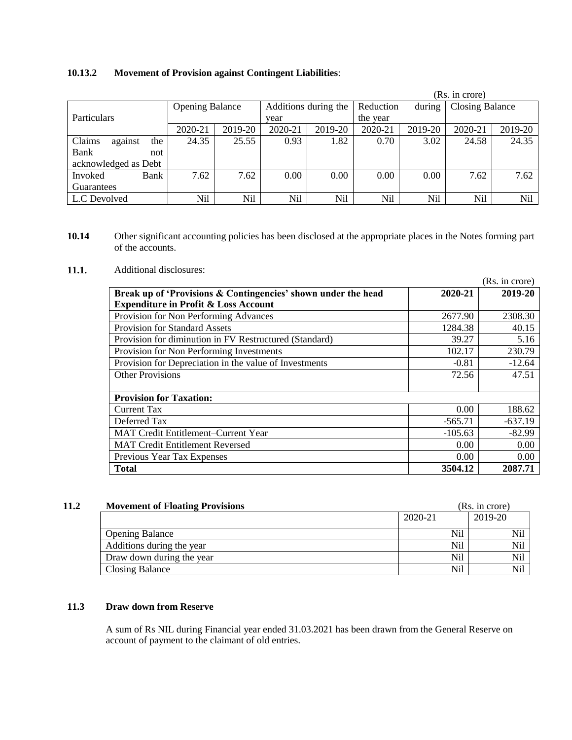# **10.13.2 Movement of Provision against Contingent Liabilities**:

|                          |                        |         |                      |         |           |         | (Rs. in crore)         |         |
|--------------------------|------------------------|---------|----------------------|---------|-----------|---------|------------------------|---------|
|                          | <b>Opening Balance</b> |         | Additions during the |         | Reduction | during  | <b>Closing Balance</b> |         |
| <b>Particulars</b>       |                        |         | year                 |         | the year  |         |                        |         |
|                          | 2020-21                | 2019-20 | 2020-21              | 2019-20 | 2020-21   | 2019-20 | 2020-21                | 2019-20 |
| Claims<br>the<br>against | 24.35                  | 25.55   | 0.93                 | 1.82    | 0.70      | 3.02    | 24.58                  | 24.35   |
| Bank<br>not              |                        |         |                      |         |           |         |                        |         |
| acknowledged as Debt     |                        |         |                      |         |           |         |                        |         |
| Bank<br>Invoked          | 7.62                   | 7.62    | 0.00                 | 0.00    | 0.00      | 0.00    | 7.62                   | 7.62    |
| Guarantees               |                        |         |                      |         |           |         |                        |         |
| L.C Devolved             | Nil                    | Nil     | Nil                  | Nil     | Nil       | Nil     | Nil                    | Nil     |

**10.14** Other significant accounting policies has been disclosed at the appropriate places in the Notes forming part of the accounts.

### **11.1.** Additional disclosures:

|                                                               |           | (Rs. in crore) |
|---------------------------------------------------------------|-----------|----------------|
| Break up of 'Provisions & Contingencies' shown under the head | 2020-21   | 2019-20        |
| <b>Expenditure in Profit &amp; Loss Account</b>               |           |                |
| Provision for Non Performing Advances                         | 2677.90   | 2308.30        |
| <b>Provision for Standard Assets</b>                          | 1284.38   | 40.15          |
| Provision for diminution in FV Restructured (Standard)        | 39.27     | 5.16           |
| Provision for Non Performing Investments                      | 102.17    | 230.79         |
| Provision for Depreciation in the value of Investments        | $-0.81$   | $-12.64$       |
| <b>Other Provisions</b>                                       | 72.56     | 47.51          |
|                                                               |           |                |
| <b>Provision for Taxation:</b>                                |           |                |
| <b>Current Tax</b>                                            | 0.00      | 188.62         |
| Deferred Tax                                                  | $-565.71$ | $-637.19$      |
| <b>MAT Credit Entitlement–Current Year</b>                    | $-105.63$ | $-82.99$       |
| <b>MAT Credit Entitlement Reversed</b>                        | 0.00      | 0.00           |
| Previous Year Tax Expenses                                    | 0.00      | 0.00           |
| <b>Total</b>                                                  | 3504.12   | 2087.71        |

| 11.2 | <b>Movement of Floating Provisions</b> |         | (Rs. in core) |  |
|------|----------------------------------------|---------|---------------|--|
|      |                                        | 2020-21 | 2019-20       |  |
|      | <b>Opening Balance</b>                 | Nil     | Nil           |  |
|      | Additions during the year              | Nil     | Nil           |  |
|      | Draw down during the year              | Nil     | Nil           |  |
|      | Closing Balance                        | Nil     | Nil           |  |

# **11.3 Draw down from Reserve**

A sum of Rs NIL during Financial year ended 31.03.2021 has been drawn from the General Reserve on account of payment to the claimant of old entries.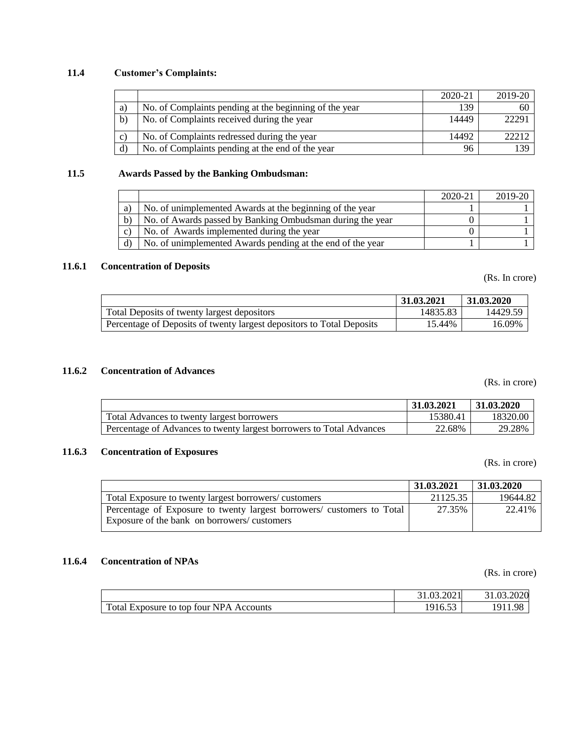# **11.4 Customer's Complaints:**

|              |                                                        | 2020-21 | 2019-20 |
|--------------|--------------------------------------------------------|---------|---------|
| a)           | No. of Complaints pending at the beginning of the year | 139     | 60      |
| $\mathbf{b}$ | No. of Complaints received during the year             | 14449   | 22291   |
| C)           | No. of Complaints redressed during the year            | 14492   | 22212   |
| d)           | No. of Complaints pending at the end of the year       | 96      | 139     |

### **11.5 Awards Passed by the Banking Ombudsman:**

|              |                                                            | 2020-21 | 2019-20 |
|--------------|------------------------------------------------------------|---------|---------|
| a)           | No. of unimplemented Awards at the beginning of the year   |         |         |
| $\mathbf{b}$ | No. of Awards passed by Banking Ombudsman during the year  |         |         |
| $\mathbf{c}$ | No. of Awards implemented during the year                  |         |         |
|              | No. of unimplemented Awards pending at the end of the year |         |         |

# **11.6.1 Concentration of Deposits**

(Rs. In crore)

|                                                                       | 31.03.2021 | $\mid$ 31.03.2020 |
|-----------------------------------------------------------------------|------------|-------------------|
| Total Deposits of twenty largest depositors                           | 14835.83   | 14429.59          |
| Percentage of Deposits of twenty largest depositors to Total Deposits | 15.44%     | 16.09%            |

# **11.6.2 Concentration of Advances**

(Rs. in crore)

|                                                                      | 31.03.2021 | 31.03.2020 |
|----------------------------------------------------------------------|------------|------------|
| Total Advances to twenty largest borrowers                           | 15380.41   | 18320.00   |
| Percentage of Advances to twenty largest borrowers to Total Advances | 22.68%     | 29.28%     |

### **11.6.3 Concentration of Exposures**

(Rs. in crore)

|                                                                        | 31.03.2021 | $\mid$ 31.03.2020 |
|------------------------------------------------------------------------|------------|-------------------|
| Total Exposure to twenty largest borrowers/customers                   | 21125.35   | 19644.82          |
| Percentage of Exposure to twenty largest borrowers/ customers to Total | 27.35%     | 22.41%            |
| Exposure of the bank on borrowers/customers                            |            |                   |
|                                                                        |            |                   |

# **11.6.4 Concentration of NPAs**

(Rs. in crore)

|                                         | 1.03.2021    | 2020<br>03 |
|-----------------------------------------|--------------|------------|
| Total Exposure to top four NPA Accounts | . <i>. .</i> |            |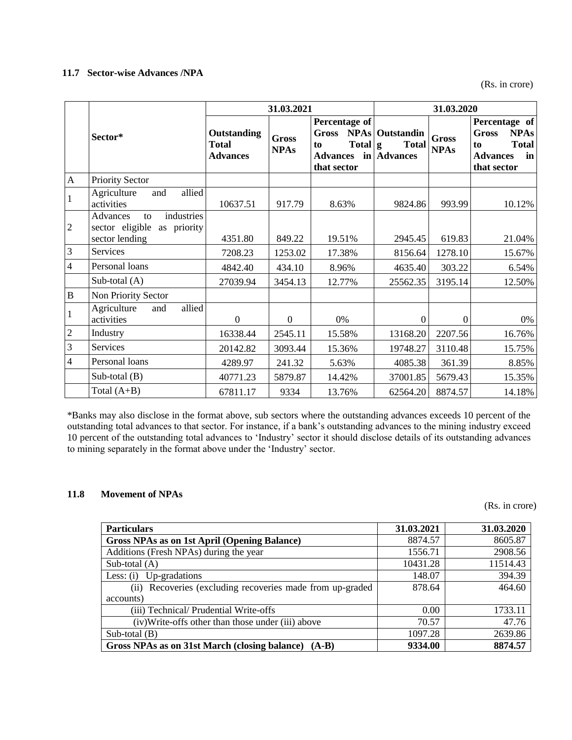# **11.7 Sector-wise Advances /NPA**

(Rs. in crore)

|                |                                                                                  |                                         | 31.03.2021                  | 31.03.2020                                                                         |                                                       |                             |                                                                                                            |
|----------------|----------------------------------------------------------------------------------|-----------------------------------------|-----------------------------|------------------------------------------------------------------------------------|-------------------------------------------------------|-----------------------------|------------------------------------------------------------------------------------------------------------|
|                | Sector*                                                                          | Outstanding<br>Total<br><b>Advances</b> | <b>Gross</b><br><b>NPAs</b> | Percentage of<br><b>Gross</b><br>$Total g$<br>to<br><b>Advances</b><br>that sector | <b>NPAs</b> Outstandin<br><b>Total</b><br>in Advances | <b>Gross</b><br><b>NPAs</b> | Percentage of<br><b>NPAs</b><br><b>Gross</b><br><b>Total</b><br>to<br><b>Advances</b><br>in<br>that sector |
| $\mathbf{A}$   | <b>Priority Sector</b>                                                           |                                         |                             |                                                                                    |                                                       |                             |                                                                                                            |
|                | allied<br>Agriculture<br>and<br>activities                                       | 10637.51                                | 917.79                      | 8.63%                                                                              | 9824.86                                               | 993.99                      | 10.12%                                                                                                     |
| $\overline{2}$ | industries<br>Advances<br>to<br>sector eligible<br>as priority<br>sector lending | 4351.80                                 | 849.22                      | 19.51%                                                                             | 2945.45                                               | 619.83                      | 21.04%                                                                                                     |
| 3              | Services                                                                         | 7208.23                                 | 1253.02                     | 17.38%                                                                             | 8156.64                                               | 1278.10                     | 15.67%                                                                                                     |
| $\overline{4}$ | Personal loans                                                                   | 4842.40                                 | 434.10                      | 8.96%                                                                              | 4635.40                                               | 303.22                      | 6.54%                                                                                                      |
|                | Sub-total $(A)$                                                                  | 27039.94                                | 3454.13                     | 12.77%                                                                             | 25562.35                                              | 3195.14                     | 12.50%                                                                                                     |
| $\, {\bf B}$   | Non Priority Sector                                                              |                                         |                             |                                                                                    |                                                       |                             |                                                                                                            |
|                | allied<br>Agriculture<br>and<br>activities                                       | $\overline{0}$                          | $\mathbf{0}$                | 0%                                                                                 | $\Omega$                                              | $\Omega$                    | 0%                                                                                                         |
| $\overline{2}$ | Industry                                                                         | 16338.44                                | 2545.11                     | 15.58%                                                                             | 13168.20                                              | 2207.56                     | 16.76%                                                                                                     |
| 3              | Services                                                                         | 20142.82                                | 3093.44                     | 15.36%                                                                             | 19748.27                                              | 3110.48                     | 15.75%                                                                                                     |
| $\overline{4}$ | Personal loans                                                                   | 4289.97                                 | 241.32                      | 5.63%                                                                              | 4085.38                                               | 361.39                      | 8.85%                                                                                                      |
|                | Sub-total $(B)$                                                                  | 40771.23                                | 5879.87                     | 14.42%                                                                             | 37001.85                                              | 5679.43                     | 15.35%                                                                                                     |
|                | Total $(A+B)$                                                                    | 67811.17                                | 9334                        | 13.76%                                                                             | 62564.20                                              | 8874.57                     | 14.18%                                                                                                     |

\*Banks may also disclose in the format above, sub sectors where the outstanding advances exceeds 10 percent of the outstanding total advances to that sector. For instance, if a bank's outstanding advances to the mining industry exceed 10 percent of the outstanding total advances to 'Industry' sector it should disclose details of its outstanding advances to mining separately in the format above under the 'Industry' sector.

### **11.8 Movement of NPAs**

(Rs. in crore)

| <b>Particulars</b>                                          | 31.03.2021 | 31.03.2020 |
|-------------------------------------------------------------|------------|------------|
| Gross NPAs as on 1st April (Opening Balance)                | 8874.57    | 8605.87    |
| Additions (Fresh NPAs) during the year                      | 1556.71    | 2908.56    |
| Sub-total $(A)$                                             | 10431.28   | 11514.43   |
| Up-gradations<br>Less: $(i)$                                | 148.07     | 394.39     |
| Recoveries (excluding recoveries made from up-graded<br>(i) | 878.64     | 464.60     |
| accounts)                                                   |            |            |
| (iii) Technical/ Prudential Write-offs                      | 0.00       | 1733.11    |
| (iv) Write-offs other than those under (iii) above          | 70.57      | 47.76      |
| Sub-total $(B)$                                             | 1097.28    | 2639.86    |
| Gross NPAs as on 31st March (closing balance)<br>$(A-B)$    | 9334.00    | 8874.57    |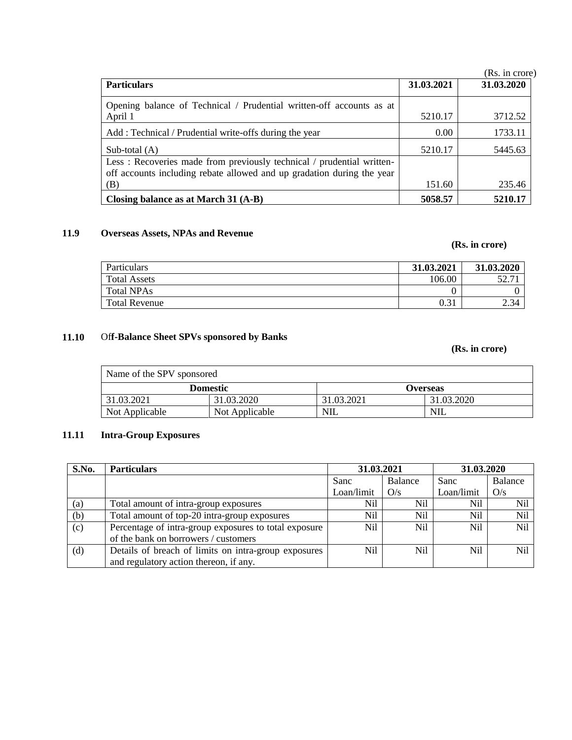|                                                                        |            | (Rs. in crore) |
|------------------------------------------------------------------------|------------|----------------|
| <b>Particulars</b>                                                     | 31.03.2021 | 31.03.2020     |
| Opening balance of Technical / Prudential written-off accounts as at   |            |                |
| April 1                                                                | 5210.17    | 3712.52        |
| Add: Technical / Prudential write-offs during the year                 | 0.00       | 1733.11        |
| Sub-total $(A)$                                                        | 5210.17    | 5445.63        |
| Less: Recoveries made from previously technical / prudential written-  |            |                |
| off accounts including rebate allowed and up gradation during the year |            |                |
| (B)                                                                    | 151.60     | 235.46         |
| Closing balance as at March 31 (A-B)                                   | 5058.57    | 5210.17        |

# **11.9 Overseas Assets, NPAs and Revenue**

# **(Rs. in crore)**

| Particulars          | 31.03.2021 | 31.03.2020 |
|----------------------|------------|------------|
| <b>Total Assets</b>  | 106.00     | 52.7       |
| <b>Total NPAs</b>    |            |            |
| <b>Total Revenue</b> | 0.31       | 2.34       |

# **11.10** Of**f-Balance Sheet SPVs sponsored by Banks**

# **(Rs. in crore)**

| Name of the SPV sponsored |                 |            |            |  |  |  |
|---------------------------|-----------------|------------|------------|--|--|--|
|                           | <b>Domestic</b> |            | Overseas   |  |  |  |
| 31.03.2021                | 31.03.2020      | 31.03.2021 | 31.03.2020 |  |  |  |
| Not Applicable            | Not Applicable  | NIL        | NIL        |  |  |  |

# **11.11 Intra-Group Exposures**

| S.No. | <b>Particulars</b>                                    | 31.03.2021 |                | 31.03.2020 |                |  |
|-------|-------------------------------------------------------|------------|----------------|------------|----------------|--|
|       |                                                       | Sanc       | Balance        | Sanc       | <b>Balance</b> |  |
|       |                                                       | Loan/limit | O/s            | Loan/limit | O/s            |  |
| (a)   | Total amount of intra-group exposures                 | Nil        | N <sub>i</sub> | Nil        | <b>Nil</b>     |  |
| (b)   | Total amount of top-20 intra-group exposures          | Nil        | Nil            | Nil        | N <sub>i</sub> |  |
| (c)   | Percentage of intra-group exposures to total exposure | Nil        | Nil            | Nil        | Nil            |  |
|       | of the bank on borrowers / customers                  |            |                |            |                |  |
| (d)   | Details of breach of limits on intra-group exposures  | Nil        | Nil            | Nil        | Ni1            |  |
|       | and regulatory action thereon, if any.                |            |                |            |                |  |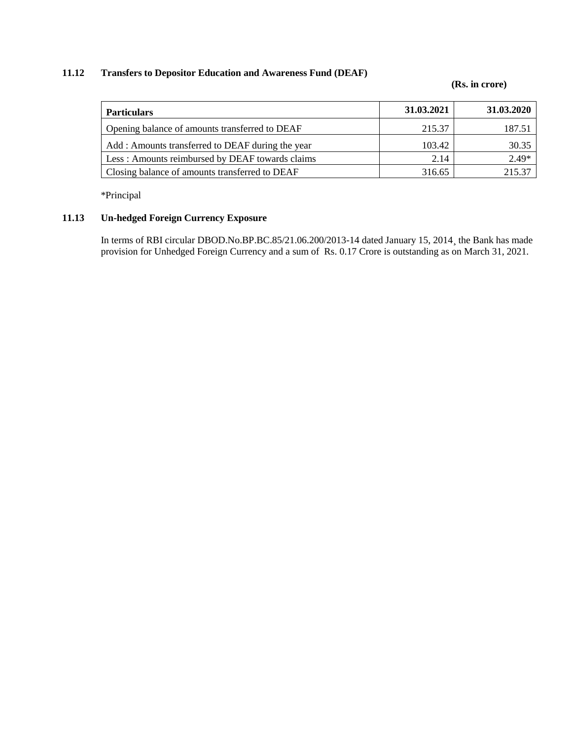# **11.12 Transfers to Depositor Education and Awareness Fund (DEAF)**

### **(Rs. in crore)**

| <b>Particulars</b>                               | 31.03.2021 | 31.03.2020 |
|--------------------------------------------------|------------|------------|
| Opening balance of amounts transferred to DEAF   | 215.37     | 187.51     |
| Add: Amounts transferred to DEAF during the year | 103.42     | 30.35      |
| Less: Amounts reimbursed by DEAF towards claims  | 2.14       | $2.49*$    |
| Closing balance of amounts transferred to DEAF   | 316.65     | 215.37     |

\*Principal

# **11.13 Un-hedged Foreign Currency Exposure**

In terms of RBI circular DBOD.No.BP.BC.85/21.06.200/2013-14 dated January 15, 2014¸ the Bank has made provision for Unhedged Foreign Currency and a sum of Rs. 0.17 Crore is outstanding as on March 31, 2021.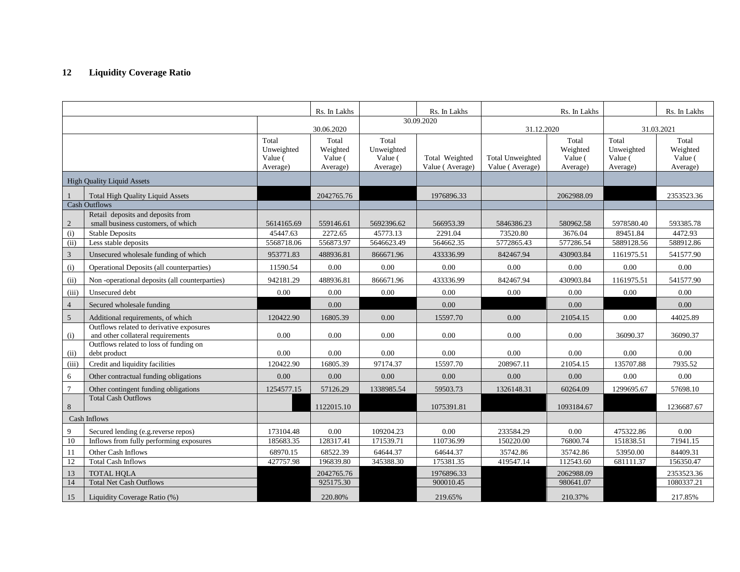# **12 Liquidity Coverage Ratio**

|                       |                                                                                                   |                                            | Rs. In Lakhs                             |                                            | Rs. In Lakhs                      |                                     | Rs. In Lakhs                                                                                                      |                        | Rs. In Lakhs                             |
|-----------------------|---------------------------------------------------------------------------------------------------|--------------------------------------------|------------------------------------------|--------------------------------------------|-----------------------------------|-------------------------------------|-------------------------------------------------------------------------------------------------------------------|------------------------|------------------------------------------|
|                       |                                                                                                   |                                            | 30.06.2020                               |                                            | 30.09.2020                        |                                     | 31.12.2020<br>Total<br>Total<br>Weighted<br>Value (<br>Value (<br>Average)<br>Average)<br>2062988.09<br>580962.58 |                        | 31.03.2021                               |
|                       |                                                                                                   | Total<br>Unweighted<br>Value (<br>Average) | Total<br>Weighted<br>Value (<br>Average) | Total<br>Unweighted<br>Value (<br>Average) | Total Weighted<br>Value (Average) | Total Unweighted<br>Value (Average) |                                                                                                                   | Unweighted             | Total<br>Weighted<br>Value (<br>Average) |
|                       | <b>High Quality Liquid Assets</b>                                                                 |                                            |                                          |                                            |                                   |                                     |                                                                                                                   |                        |                                          |
|                       | <b>Total High Quality Liquid Assets</b><br><b>Cash Outflows</b>                                   |                                            | 2042765.76                               |                                            | 1976896.33                        |                                     |                                                                                                                   |                        | 2353523.36                               |
| $\overline{c}$<br>(i) | Retail deposits and deposits from<br>small business customers, of which<br><b>Stable Deposits</b> | 5614165.69<br>45447.63                     | 559146.61<br>2272.65                     | 5692396.62<br>45773.13                     | 566953.39<br>2291.04              | 5846386.23<br>73520.80              | 3676.04                                                                                                           | 5978580.40<br>89451.84 | 593385.78<br>4472.93                     |
| (iii)                 | Less stable deposits                                                                              | 5568718.06                                 | 556873.97                                | 5646623.49                                 | 564662.35                         | 5772865.43                          | 577286.54                                                                                                         | 5889128.56             | 588912.86                                |
| $\mathfrak{Z}$        | Unsecured wholesale funding of which                                                              | 953771.83                                  | 488936.81                                | 866671.96                                  | 433336.99                         | 842467.94                           | 430903.84                                                                                                         | 1161975.51             | 541577.90                                |
| (i)                   | Operational Deposits (all counterparties)                                                         | 11590.54                                   | 0.00                                     | 0.00                                       | 0.00                              | 0.00                                | 0.00                                                                                                              | 0.00                   | 0.00                                     |
| (ii)                  | Non-operational deposits (all counterparties)                                                     | 942181.29                                  | 488936.81                                | 866671.96                                  | 433336.99                         | 842467.94                           | 430903.84                                                                                                         | 1161975.51             | 541577.90                                |
| (iii)                 | Unsecured debt                                                                                    | $0.00\,$                                   | 0.00                                     | $0.00\,$                                   | 0.00                              | $0.00\,$                            | 0.00                                                                                                              | $0.00\,$               | 0.00                                     |
| $\overline{4}$        | Secured wholesale funding                                                                         |                                            | 0.00                                     |                                            | 0.00                              |                                     | 0.00                                                                                                              |                        | 0.00                                     |
| $\sqrt{5}$            | Additional requirements, of which                                                                 | 120422.90                                  | 16805.39                                 | 0.00                                       | 15597.70                          | 0.00                                | 21054.15                                                                                                          | 0.00                   | 44025.89                                 |
| (i)                   | Outflows related to derivative exposures<br>and other collateral requirements                     | 0.00                                       | 0.00                                     | 0.00                                       | $0.00\,$                          | $0.00\,$                            | 0.00                                                                                                              | 36090.37               | 36090.37                                 |
| (ii)                  | Outflows related to loss of funding on<br>debt product                                            | 0.00                                       | 0.00                                     | 0.00                                       | 0.00                              | 0.00                                | 0.00                                                                                                              | 0.00                   | 0.00                                     |
| (iii)                 | Credit and liquidity facilities                                                                   | 120422.90                                  | 16805.39                                 | 97174.37                                   | 15597.70                          | 208967.11                           | 21054.15                                                                                                          | 135707.88              | 7935.52                                  |
| 6                     | Other contractual funding obligations                                                             | 0.00                                       | 0.00                                     | 0.00                                       | 0.00                              | 0.00                                | 0.00                                                                                                              | 0.00                   | 0.00                                     |
| $\overline{7}$        | Other contingent funding obligations                                                              | 1254577.15                                 | 57126.29                                 | 1338985.54                                 | 59503.73                          | 1326148.31                          | 60264.09                                                                                                          | 1299695.67             | 57698.10                                 |
| 8                     | <b>Total Cash Outflows</b>                                                                        |                                            | 1122015.10                               |                                            | 1075391.81                        |                                     | 1093184.67                                                                                                        |                        | 1236687.67                               |
|                       | Cash Inflows                                                                                      |                                            |                                          |                                            |                                   |                                     |                                                                                                                   |                        |                                          |
| 9                     | Secured lending (e.g. reverse repos)                                                              | 173104.48                                  | 0.00                                     | 109204.23                                  | 0.00                              | 233584.29                           | 0.00                                                                                                              | 475322.86              | 0.00                                     |
| 10                    | Inflows from fully performing exposures                                                           | 185683.35                                  | 128317.41                                | 171539.71                                  | 110736.99                         | 150220.00                           | 76800.74                                                                                                          | 151838.51              | 71941.15                                 |
| 11                    | Other Cash Inflows                                                                                | 68970.15                                   | 68522.39                                 | 64644.37                                   | 64644.37                          | 35742.86                            | 35742.86                                                                                                          | 53950.00               | 84409.31                                 |
| 12                    | <b>Total Cash Inflows</b>                                                                         | 427757.98                                  | 196839.80                                | 345388.30                                  | 175381.35                         | 419547.14                           | 112543.60                                                                                                         | 681111.37              | 156350.47                                |
| 13                    | <b>TOTAL HQLA</b>                                                                                 |                                            | 2042765.76                               |                                            | 1976896.33                        |                                     | 2062988.09                                                                                                        |                        | 2353523.36                               |
| 14                    | <b>Total Net Cash Outflows</b>                                                                    |                                            | 925175.30                                |                                            | 900010.45                         |                                     | 980641.07                                                                                                         |                        | 1080337.21                               |
| 15                    | Liquidity Coverage Ratio (%)                                                                      |                                            | 220.80%                                  |                                            | 219.65%                           |                                     | 210.37%                                                                                                           |                        | 217.85%                                  |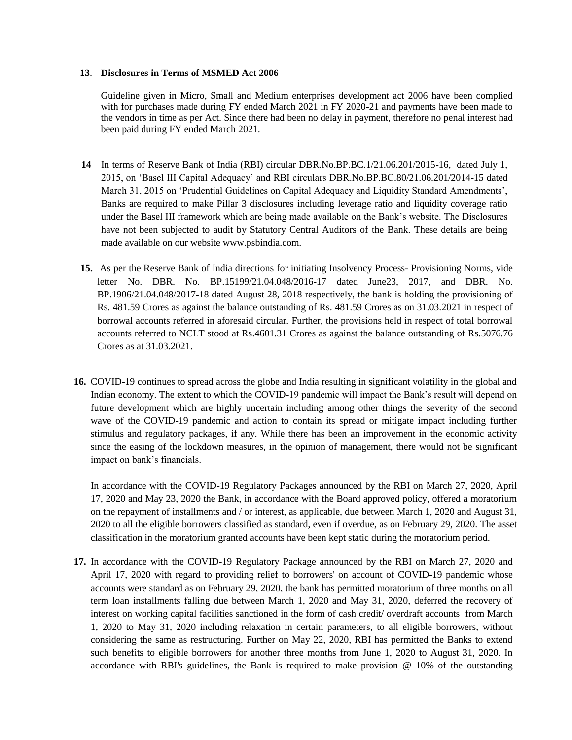#### **13**. **Disclosures in Terms of MSMED Act 2006**

Guideline given in Micro, Small and Medium enterprises development act 2006 have been complied with for purchases made during FY ended March 2021 in FY 2020-21 and payments have been made to the vendors in time as per Act. Since there had been no delay in payment, therefore no penal interest had been paid during FY ended March 2021.

- **14** In terms of Reserve Bank of India (RBI) circular DBR.No.BP.BC.1/21.06.201/2015-16, dated July 1, 2015, on 'Basel III Capital Adequacy' and RBI circulars DBR.No.BP.BC.80/21.06.201/2014-15 dated March 31, 2015 on 'Prudential Guidelines on Capital Adequacy and Liquidity Standard Amendments', Banks are required to make Pillar 3 disclosures including leverage ratio and liquidity coverage ratio under the Basel III framework which are being made available on the Bank's website. The Disclosures have not been subjected to audit by Statutory Central Auditors of the Bank. These details are being made available on our website [www.psbindia.com.](http://www.psbindia.com/)
- **15.** As per the Reserve Bank of India directions for initiating Insolvency Process- Provisioning Norms, vide letter No. DBR. No. BP.15199/21.04.048/2016-17 dated June23, 2017, and DBR. No. BP.1906/21.04.048/2017-18 dated August 28, 2018 respectively, the bank is holding the provisioning of Rs. 481.59 Crores as against the balance outstanding of Rs. 481.59 Crores as on 31.03.2021 in respect of borrowal accounts referred in aforesaid circular. Further, the provisions held in respect of total borrowal accounts referred to NCLT stood at Rs.4601.31 Crores as against the balance outstanding of Rs.5076.76 Crores as at 31.03.2021.
- **16.** COVID-19 continues to spread across the globe and India resulting in significant volatility in the global and Indian economy. The extent to which the COVID-19 pandemic will impact the Bank's result will depend on future development which are highly uncertain including among other things the severity of the second wave of the COVID-19 pandemic and action to contain its spread or mitigate impact including further stimulus and regulatory packages, if any. While there has been an improvement in the economic activity since the easing of the lockdown measures, in the opinion of management, there would not be significant impact on bank's financials.

In accordance with the COVID-19 Regulatory Packages announced by the RBI on March 27, 2020, April 17, 2020 and May 23, 2020 the Bank, in accordance with the Board approved policy, offered a moratorium on the repayment of installments and / or interest, as applicable, due between March 1, 2020 and August 31, 2020 to all the eligible borrowers classified as standard, even if overdue, as on February 29, 2020. The asset classification in the moratorium granted accounts have been kept static during the moratorium period.

**17.** In accordance with the COVID-19 Regulatory Package announced by the RBI on March 27, 2020 and April 17, 2020 with regard to providing relief to borrowers' on account of COVID-19 pandemic whose accounts were standard as on February 29, 2020, the bank has permitted moratorium of three months on all term loan installments falling due between March 1, 2020 and May 31, 2020, deferred the recovery of interest on working capital facilities sanctioned in the form of cash credit/ overdraft accounts from March 1, 2020 to May 31, 2020 including relaxation in certain parameters, to all eligible borrowers, without considering the same as restructuring. Further on May 22, 2020, RBI has permitted the Banks to extend such benefits to eligible borrowers for another three months from June 1, 2020 to August 31, 2020. In accordance with RBI's guidelines, the Bank is required to make provision @ 10% of the outstanding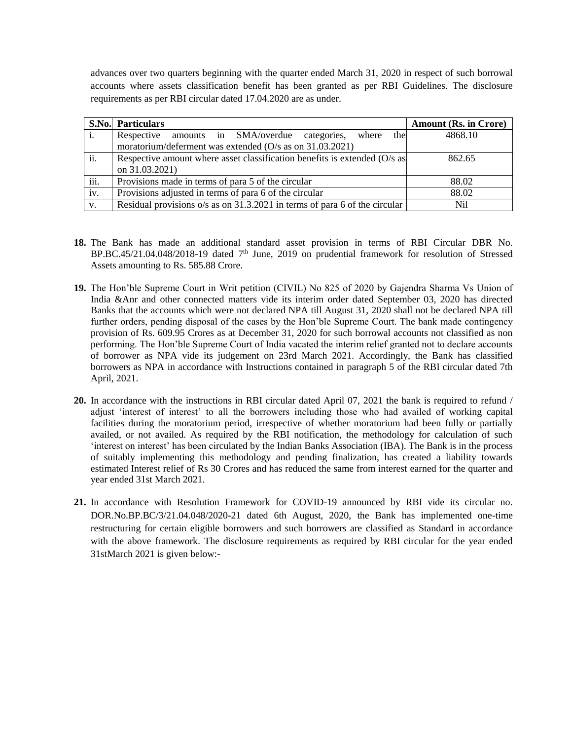advances over two quarters beginning with the quarter ended March 31, 2020 in respect of such borrowal accounts where assets classification benefit has been granted as per RBI Guidelines. The disclosure requirements as per RBI circular dated 17.04.2020 are as under.

|                | <b>S.No. Particulars</b>                                                   | <b>Amount (Rs. in Crore)</b> |  |
|----------------|----------------------------------------------------------------------------|------------------------------|--|
| $\mathbf{i}$ . | Respective amounts in SMA/overdue categories, where<br>the                 | 4868.10                      |  |
|                | moratorium/deferment was extended (O/s as on 31.03.2021)                   |                              |  |
| ii.            | Respective amount where asset classification benefits is extended (O/s as  | 862.65                       |  |
|                | on 31.03.2021)                                                             |                              |  |
| iii.           | Provisions made in terms of para 5 of the circular                         | 88.02                        |  |
| iv.            | Provisions adjusted in terms of para 6 of the circular                     | 88.02                        |  |
| V <sub>r</sub> | Residual provisions o/s as on 31.3.2021 in terms of para 6 of the circular | Nil                          |  |

- **18.** The Bank has made an additional standard asset provision in terms of RBI Circular DBR No. BP.BC.45/21.04.048/2018-19 dated 7<sup>th</sup> June, 2019 on prudential framework for resolution of Stressed Assets amounting to Rs. 585.88 Crore.
- **19.** The Hon'ble Supreme Court in Writ petition (CIVIL) No 825 of 2020 by Gajendra Sharma Vs Union of India &Anr and other connected matters vide its interim order dated September 03, 2020 has directed Banks that the accounts which were not declared NPA till August 31, 2020 shall not be declared NPA till further orders, pending disposal of the cases by the Hon'ble Supreme Court. The bank made contingency provision of Rs. 609.95 Crores as at December 31, 2020 for such borrowal accounts not classified as non performing. The Hon'ble Supreme Court of India vacated the interim relief granted not to declare accounts of borrower as NPA vide its judgement on 23rd March 2021. Accordingly, the Bank has classified borrowers as NPA in accordance with Instructions contained in paragraph 5 of the RBI circular dated 7th April, 2021.
- **20.** In accordance with the instructions in RBI circular dated April 07, 2021 the bank is required to refund / adjust 'interest of interest' to all the borrowers including those who had availed of working capital facilities during the moratorium period, irrespective of whether moratorium had been fully or partially availed, or not availed. As required by the RBI notification, the methodology for calculation of such 'interest on interest' has been circulated by the Indian Banks Association (IBA). The Bank is in the process of suitably implementing this methodology and pending finalization, has created a liability towards estimated Interest relief of Rs 30 Crores and has reduced the same from interest earned for the quarter and year ended 31st March 2021.
- **21.** In accordance with Resolution Framework for COVID-19 announced by RBI vide its circular no. DOR.No.BP.BC/3/21.04.048/2020-21 dated 6th August, 2020, the Bank has implemented one-time restructuring for certain eligible borrowers and such borrowers are classified as Standard in accordance with the above framework. The disclosure requirements as required by RBI circular for the year ended 31stMarch 2021 is given below:-